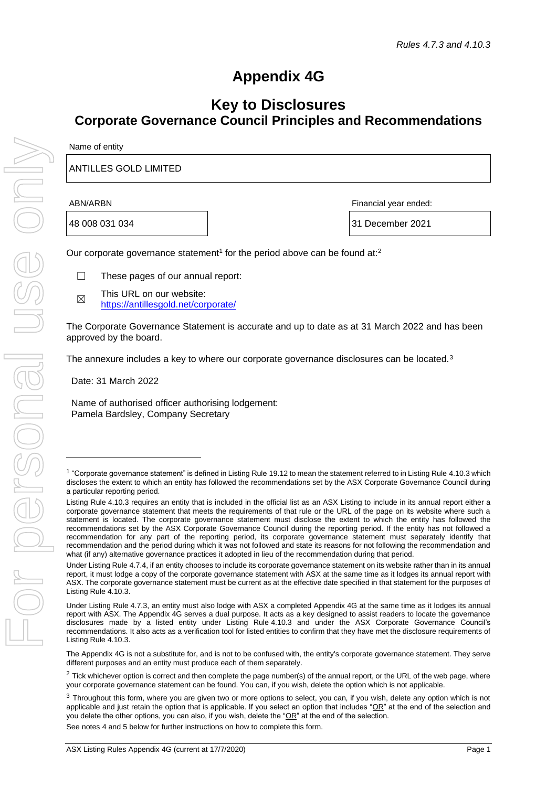# **Appendix 4G**

## **Key to Disclosures Corporate Governance Council Principles and Recommendations**

| Name of entity               |                       |  |
|------------------------------|-----------------------|--|
| <b>ANTILLES GOLD LIMITED</b> |                       |  |
| ABN/ARBN                     | Financial year ended: |  |

48 008 031 034 31 December 2021

Our corporate governance statement<sup>1</sup> for the period above can be found at:<sup>2</sup>

- ☐ These pages of our annual report:
- ☒ This URL on our website: <https://antillesgold.net/corporate/>

The Corporate Governance Statement is accurate and up to date as at 31 March 2022 and has been approved by the board.

The annexure includes a key to where our corporate governance disclosures can be located.<sup>3</sup>

Date: 31 March 2022

Name of authorised officer authorising lodgement: Pamela Bardsley, Company Secretary

The Appendix 4G is not a substitute for, and is not to be confused with, the entity's corporate governance statement. They serve different purposes and an entity must produce each of them separately.

See notes 4 and 5 below for further instructions on how to complete this form.

<sup>&</sup>lt;sup>1</sup> "Corporate governance statement" is defined in Listing Rule 19.12 to mean the statement referred to in Listing Rule 4.10.3 which discloses the extent to which an entity has followed the recommendations set by the ASX Corporate Governance Council during a particular reporting period.

Listing Rule 4.10.3 requires an entity that is included in the official list as an ASX Listing to include in its annual report either a corporate governance statement that meets the requirements of that rule or the URL of the page on its website where such a statement is located. The corporate governance statement must disclose the extent to which the entity has followed the recommendations set by the ASX Corporate Governance Council during the reporting period. If the entity has not followed a recommendation for any part of the reporting period, its corporate governance statement must separately identify that recommendation and the period during which it was not followed and state its reasons for not following the recommendation and what (if any) alternative governance practices it adopted in lieu of the recommendation during that period.

Under Listing Rule 4.7.4, if an entity chooses to include its corporate governance statement on its website rather than in its annual report, it must lodge a copy of the corporate governance statement with ASX at the same time as it lodges its annual report with ASX. The corporate governance statement must be current as at the effective date specified in that statement for the purposes of Listing Rule 4.10.3.

Under Listing Rule 4.7.3, an entity must also lodge with ASX a completed Appendix 4G at the same time as it lodges its annual report with ASX. The Appendix 4G serves a dual purpose. It acts as a key designed to assist readers to locate the governance disclosures made by a listed entity under Listing Rule 4.10.3 and under the ASX Corporate Governance Council's recommendations. It also acts as a verification tool for listed entities to confirm that they have met the disclosure requirements of Listing Rule 4.10.3.

 $2$  Tick whichever option is correct and then complete the page number(s) of the annual report, or the URL of the web page, where your corporate governance statement can be found. You can, if you wish, delete the option which is not applicable.

<sup>&</sup>lt;sup>3</sup> Throughout this form, where you are given two or more options to select, you can, if you wish, delete any option which is not applicable and just retain the option that is applicable. If you select an option that includes " $OR$ " at the end of the selection and you delete the other options, you can also, if you wish, delete the "OR" at the end of the selection.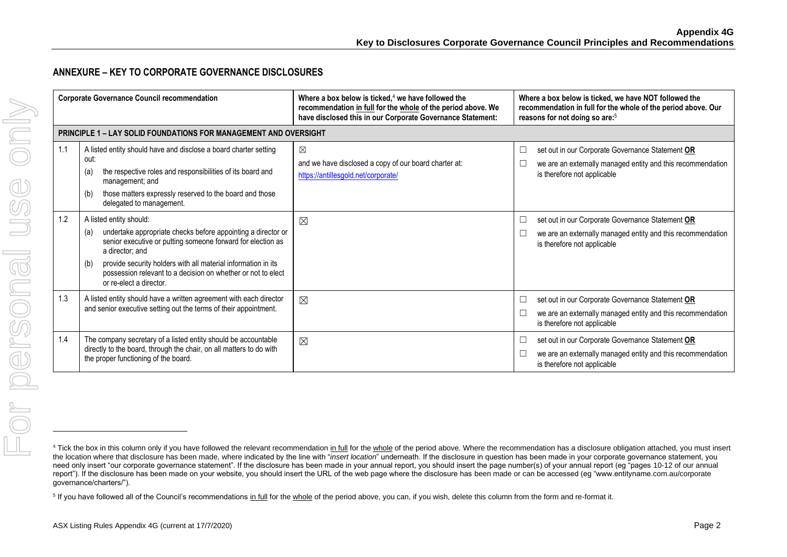#### **ANNEXURE – KEY TO CORPORATE GOVERNANCE DISCLOSURES**

|     | <b>Corporate Governance Council recommendation</b>                                                                                                                                                                                                                                                                                                  | Where a box below is ticked, $4$ we have followed the<br>recommendation in full for the whole of the period above. We<br>have disclosed this in our Corporate Governance Statement: | Where a box below is ticked, we have NOT followed the<br>recommendation in full for the whole of the period above. Our<br>reasons for not doing so are: <sup>5</sup> |
|-----|-----------------------------------------------------------------------------------------------------------------------------------------------------------------------------------------------------------------------------------------------------------------------------------------------------------------------------------------------------|-------------------------------------------------------------------------------------------------------------------------------------------------------------------------------------|----------------------------------------------------------------------------------------------------------------------------------------------------------------------|
|     | <b>PRINCIPLE 1 – LAY SOLID FOUNDATIONS FOR MANAGEMENT AND OVERSIGHT</b>                                                                                                                                                                                                                                                                             |                                                                                                                                                                                     |                                                                                                                                                                      |
| 1.1 | A listed entity should have and disclose a board charter setting<br>out:<br>the respective roles and responsibilities of its board and<br>(a)<br>management; and<br>those matters expressly reserved to the board and those<br>(b)<br>delegated to management.                                                                                      | ⊠<br>and we have disclosed a copy of our board charter at:<br>https://antillesgold.net/corporate/                                                                                   | set out in our Corporate Governance Statement OR<br>⊔<br>we are an externally managed entity and this recommendation<br>is therefore not applicable                  |
| 1.2 | A listed entity should:<br>undertake appropriate checks before appointing a director or<br>(a)<br>senior executive or putting someone forward for election as<br>a director; and<br>provide security holders with all material information in its<br>(b)<br>possession relevant to a decision on whether or not to elect<br>or re-elect a director. | ⊠                                                                                                                                                                                   | set out in our Corporate Governance Statement OR<br>Ш<br>we are an externally managed entity and this recommendation<br>$\Box$<br>is therefore not applicable        |
| 1.3 | A listed entity should have a written agreement with each director<br>and senior executive setting out the terms of their appointment.                                                                                                                                                                                                              | $\boxtimes$                                                                                                                                                                         | set out in our Corporate Governance Statement OR<br>⊔<br>we are an externally managed entity and this recommendation<br>└<br>is therefore not applicable             |
| 1.4 | The company secretary of a listed entity should be accountable<br>directly to the board, through the chair, on all matters to do with<br>the proper functioning of the board.                                                                                                                                                                       | $\boxtimes$                                                                                                                                                                         | set out in our Corporate Governance Statement OR<br>⊔<br>we are an externally managed entity and this recommendation<br>is therefore not applicable                  |

<sup>&</sup>lt;sup>4</sup> Tick the box in this column only if you have followed the relevant recommendation in full for the whole of the period above. Where the recommendation has a disclosure obligation attached, you must insert the location where that disclosure has been made, where indicated by the line with "*insert location*" underneath. If the disclosure in question has been made in your corporate governance statement, you need only insert "our corporate governance statement". If the disclosure has been made in your annual report, you should insert the page number(s) of your annual report (eg "pages 10-12 of our annual report"). If the disclosure has been made on your website, you should insert the URL of the web page where the disclosure has been made or can be accessed (eg "www.entityname.com.au/corporate governance/charters/").

<sup>&</sup>lt;sup>5</sup> If you have followed all of the Council's recommendations in full for the whole of the period above, you can, if you wish, delete this column from the form and re-format it.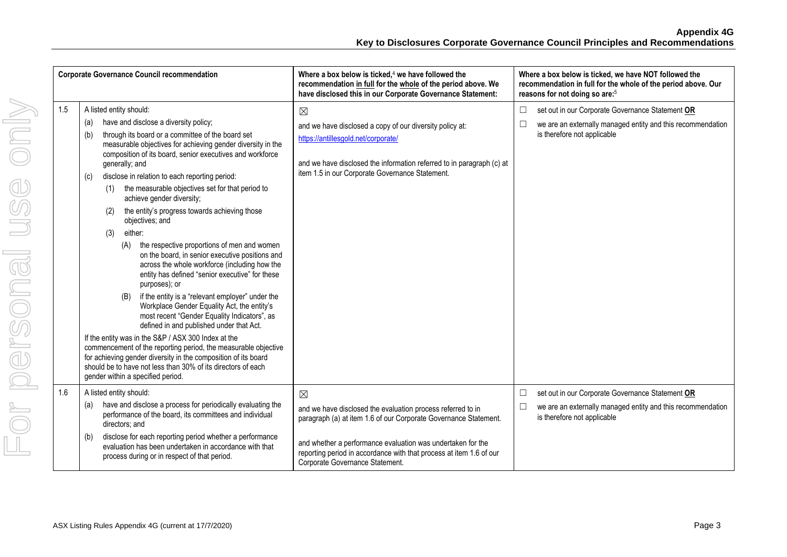|     | <b>Corporate Governance Council recommendation</b>                                                                                                                                                                                                                                                                                                                                                                                                                                                                                                                                                                                                                                                                                                                                                                                                                                                                                                                                                                                                                                                                                                                                                                                                                  | Where a box below is ticked, <sup>4</sup> we have followed the<br>recommendation in full for the whole of the period above. We<br>have disclosed this in our Corporate Governance Statement:                                                                                                                            | Where a box below is ticked, we have NOT followed the<br>recommendation in full for the whole of the period above. Our<br>reasons for not doing so are: <sup>5</sup> |
|-----|---------------------------------------------------------------------------------------------------------------------------------------------------------------------------------------------------------------------------------------------------------------------------------------------------------------------------------------------------------------------------------------------------------------------------------------------------------------------------------------------------------------------------------------------------------------------------------------------------------------------------------------------------------------------------------------------------------------------------------------------------------------------------------------------------------------------------------------------------------------------------------------------------------------------------------------------------------------------------------------------------------------------------------------------------------------------------------------------------------------------------------------------------------------------------------------------------------------------------------------------------------------------|-------------------------------------------------------------------------------------------------------------------------------------------------------------------------------------------------------------------------------------------------------------------------------------------------------------------------|----------------------------------------------------------------------------------------------------------------------------------------------------------------------|
| 1.5 | A listed entity should:<br>have and disclose a diversity policy;<br>(a)<br>through its board or a committee of the board set<br>(b)<br>measurable objectives for achieving gender diversity in the<br>composition of its board, senior executives and workforce<br>generally; and<br>disclose in relation to each reporting period:<br>(c)<br>the measurable objectives set for that period to<br>(1)<br>achieve gender diversity;<br>the entity's progress towards achieving those<br>(2)<br>objectives; and<br>either:<br>(3)<br>the respective proportions of men and women<br>(A)<br>on the board, in senior executive positions and<br>across the whole workforce (including how the<br>entity has defined "senior executive" for these<br>purposes); or<br>if the entity is a "relevant employer" under the<br>(B)<br>Workplace Gender Equality Act, the entity's<br>most recent "Gender Equality Indicators", as<br>defined in and published under that Act.<br>If the entity was in the S&P / ASX 300 Index at the<br>commencement of the reporting period, the measurable objective<br>for achieving gender diversity in the composition of its board<br>should be to have not less than 30% of its directors of each<br>gender within a specified period. | $\boxtimes$<br>and we have disclosed a copy of our diversity policy at:<br>https://antillesgold.net/corporate/<br>and we have disclosed the information referred to in paragraph (c) at<br>item 1.5 in our Corporate Governance Statement.                                                                              | set out in our Corporate Governance Statement OR<br>$\Box$<br>$\Box$<br>we are an externally managed entity and this recommendation<br>is therefore not applicable   |
| 1.6 | A listed entity should:<br>have and disclose a process for periodically evaluating the<br>(a)<br>performance of the board, its committees and individual<br>directors; and<br>disclose for each reporting period whether a performance<br>(b)<br>evaluation has been undertaken in accordance with that<br>process during or in respect of that period.                                                                                                                                                                                                                                                                                                                                                                                                                                                                                                                                                                                                                                                                                                                                                                                                                                                                                                             | $\boxtimes$<br>and we have disclosed the evaluation process referred to in<br>paragraph (a) at item 1.6 of our Corporate Governance Statement.<br>and whether a performance evaluation was undertaken for the<br>reporting period in accordance with that process at item 1.6 of our<br>Corporate Governance Statement. | set out in our Corporate Governance Statement OR<br>$\Box$<br>we are an externally managed entity and this recommendation<br>$\Box$<br>is therefore not applicable   |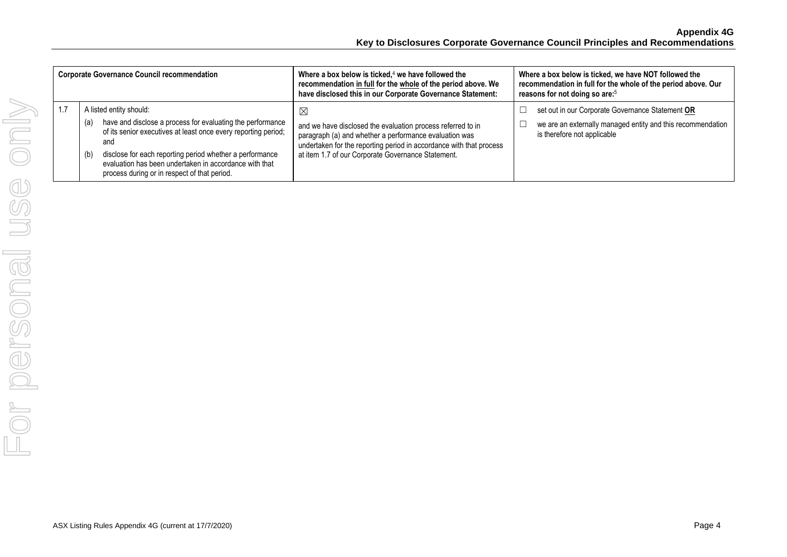|     | <b>Corporate Governance Council recommendation</b> |                                                                                                                                                                                                                                                                                                    | Where a box below is ticked, $4$ we have followed the<br>recommendation in full for the whole of the period above. We<br>have disclosed this in our Corporate Governance Statement:                                                                     | Where a box below is ticked, we have NOT followed the<br>recommendation in full for the whole of the period above. Our<br>reasons for not doing so are: <sup>5</sup> |
|-----|----------------------------------------------------|----------------------------------------------------------------------------------------------------------------------------------------------------------------------------------------------------------------------------------------------------------------------------------------------------|---------------------------------------------------------------------------------------------------------------------------------------------------------------------------------------------------------------------------------------------------------|----------------------------------------------------------------------------------------------------------------------------------------------------------------------|
| 1.7 | A listed entity should:<br>(a)<br>and<br>(b)       | have and disclose a process for evaluating the performance<br>of its senior executives at least once every reporting period;<br>disclose for each reporting period whether a performance<br>evaluation has been undertaken in accordance with that<br>process during or in respect of that period. | ⊠<br>and we have disclosed the evaluation process referred to in<br>paragraph (a) and whether a performance evaluation was<br>undertaken for the reporting period in accordance with that process<br>at item 1.7 of our Corporate Governance Statement. | set out in our Corporate Governance Statement OR<br>we are an externally managed entity and this recommendation<br>is therefore not applicable                       |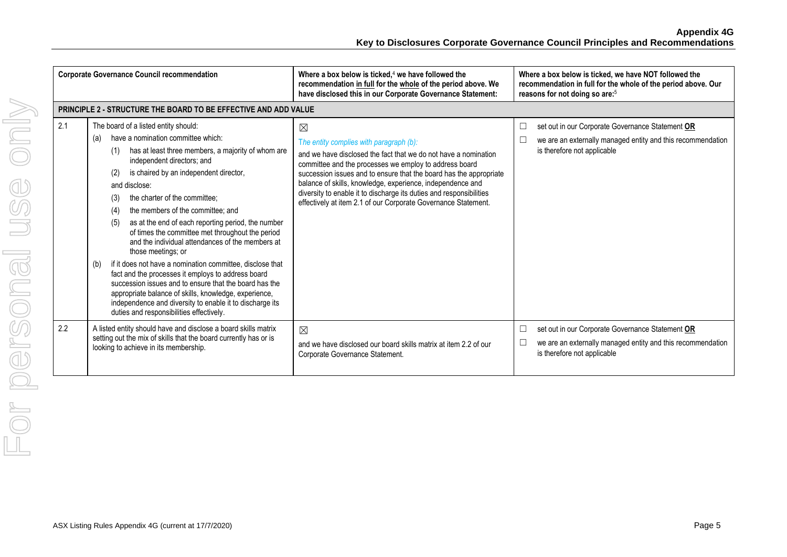**Appendix 4G Key to Disclosures Corporate Governance Council Principles and Recommendations**

|     | <b>Corporate Governance Council recommendation</b>                                                                                                                                                                                                                                                                                                                                                                                                                                                                                                                                                                                                                                                                                                                                                                                                                                 | Where a box below is ticked, $4$ we have followed the<br>recommendation in full for the whole of the period above. We<br>have disclosed this in our Corporate Governance Statement:                                                                                                                                                                                                                                                                              | Where a box below is ticked, we have NOT followed the<br>recommendation in full for the whole of the period above. Our<br>reasons for not doing so are: <sup>5</sup> |
|-----|------------------------------------------------------------------------------------------------------------------------------------------------------------------------------------------------------------------------------------------------------------------------------------------------------------------------------------------------------------------------------------------------------------------------------------------------------------------------------------------------------------------------------------------------------------------------------------------------------------------------------------------------------------------------------------------------------------------------------------------------------------------------------------------------------------------------------------------------------------------------------------|------------------------------------------------------------------------------------------------------------------------------------------------------------------------------------------------------------------------------------------------------------------------------------------------------------------------------------------------------------------------------------------------------------------------------------------------------------------|----------------------------------------------------------------------------------------------------------------------------------------------------------------------|
|     | <b>PRINCIPLE 2 - STRUCTURE THE BOARD TO BE EFFECTIVE AND ADD VALUE</b>                                                                                                                                                                                                                                                                                                                                                                                                                                                                                                                                                                                                                                                                                                                                                                                                             |                                                                                                                                                                                                                                                                                                                                                                                                                                                                  |                                                                                                                                                                      |
| 2.1 | The board of a listed entity should:<br>have a nomination committee which:<br>(a)<br>has at least three members, a majority of whom are<br>(1)<br>independent directors; and<br>is chaired by an independent director,<br>(2)<br>and disclose:<br>the charter of the committee:<br>(3)<br>the members of the committee; and<br>(4)<br>as at the end of each reporting period, the number<br>(5)<br>of times the committee met throughout the period<br>and the individual attendances of the members at<br>those meetings; or<br>if it does not have a nomination committee, disclose that<br>(b)<br>fact and the processes it employs to address board<br>succession issues and to ensure that the board has the<br>appropriate balance of skills, knowledge, experience,<br>independence and diversity to enable it to discharge its<br>duties and responsibilities effectively. | $\boxtimes$<br>The entity complies with paragraph (b):<br>and we have disclosed the fact that we do not have a nomination<br>committee and the processes we employ to address board<br>succession issues and to ensure that the board has the appropriate<br>balance of skills, knowledge, experience, independence and<br>diversity to enable it to discharge its duties and responsibilities<br>effectively at item 2.1 of our Corporate Governance Statement. | set out in our Corporate Governance Statement OR<br>we are an externally managed entity and this recommendation<br>is therefore not applicable                       |
| 2.2 | A listed entity should have and disclose a board skills matrix<br>setting out the mix of skills that the board currently has or is<br>looking to achieve in its membership.                                                                                                                                                                                                                                                                                                                                                                                                                                                                                                                                                                                                                                                                                                        | $\boxtimes$<br>and we have disclosed our board skills matrix at item 2.2 of our<br>Corporate Governance Statement.                                                                                                                                                                                                                                                                                                                                               | set out in our Corporate Governance Statement OR<br>we are an externally managed entity and this recommendation<br>is therefore not applicable                       |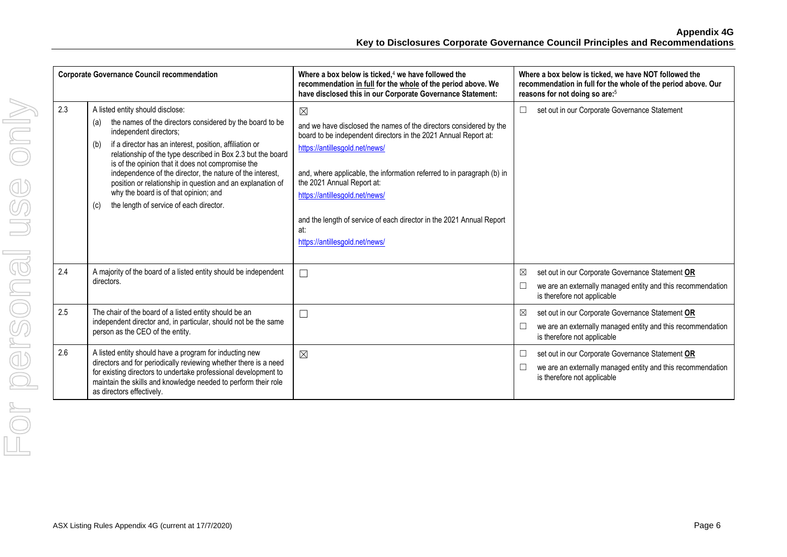|     | <b>Corporate Governance Council recommendation</b>                                                                                                                                                                                                                                                                                                                                                                                                                                                                                        | Where a box below is ticked, $4$ we have followed the<br>recommendation in full for the whole of the period above. We<br>have disclosed this in our Corporate Governance Statement:                                                                                                                                                                                                                                                               | Where a box below is ticked, we have NOT followed the<br>recommendation in full for the whole of the period above. Our<br>reasons for not doing so are: <sup>5</sup>    |
|-----|-------------------------------------------------------------------------------------------------------------------------------------------------------------------------------------------------------------------------------------------------------------------------------------------------------------------------------------------------------------------------------------------------------------------------------------------------------------------------------------------------------------------------------------------|---------------------------------------------------------------------------------------------------------------------------------------------------------------------------------------------------------------------------------------------------------------------------------------------------------------------------------------------------------------------------------------------------------------------------------------------------|-------------------------------------------------------------------------------------------------------------------------------------------------------------------------|
| 2.3 | A listed entity should disclose:<br>the names of the directors considered by the board to be<br>(a)<br>independent directors;<br>if a director has an interest, position, affiliation or<br>(b)<br>relationship of the type described in Box 2.3 but the board<br>is of the opinion that it does not compromise the<br>independence of the director, the nature of the interest,<br>position or relationship in question and an explanation of<br>why the board is of that opinion; and<br>the length of service of each director.<br>(c) | $\boxtimes$<br>and we have disclosed the names of the directors considered by the<br>board to be independent directors in the 2021 Annual Report at:<br>https://antillesgold.net/news/<br>and, where applicable, the information referred to in paragraph (b) in<br>the 2021 Annual Report at:<br>https://antillesgold.net/news/<br>and the length of service of each director in the 2021 Annual Report<br>at:<br>https://antillesgold.net/news/ | set out in our Corporate Governance Statement<br>$\Box$                                                                                                                 |
| 2.4 | A majority of the board of a listed entity should be independent<br>directors.                                                                                                                                                                                                                                                                                                                                                                                                                                                            | $\Box$                                                                                                                                                                                                                                                                                                                                                                                                                                            | set out in our Corporate Governance Statement OR<br>$\boxtimes$<br>$\Box$<br>we are an externally managed entity and this recommendation<br>is therefore not applicable |
| 2.5 | The chair of the board of a listed entity should be an<br>independent director and, in particular, should not be the same<br>person as the CEO of the entity.                                                                                                                                                                                                                                                                                                                                                                             | $\Box$                                                                                                                                                                                                                                                                                                                                                                                                                                            | set out in our Corporate Governance Statement OR<br>⊠<br>we are an externally managed entity and this recommendation<br>$\Box$<br>is therefore not applicable           |
| 2.6 | A listed entity should have a program for inducting new<br>directors and for periodically reviewing whether there is a need<br>for existing directors to undertake professional development to<br>maintain the skills and knowledge needed to perform their role<br>as directors effectively.                                                                                                                                                                                                                                             | $\boxtimes$                                                                                                                                                                                                                                                                                                                                                                                                                                       | $\Box$<br>set out in our Corporate Governance Statement OR<br>$\Box$<br>we are an externally managed entity and this recommendation<br>is therefore not applicable      |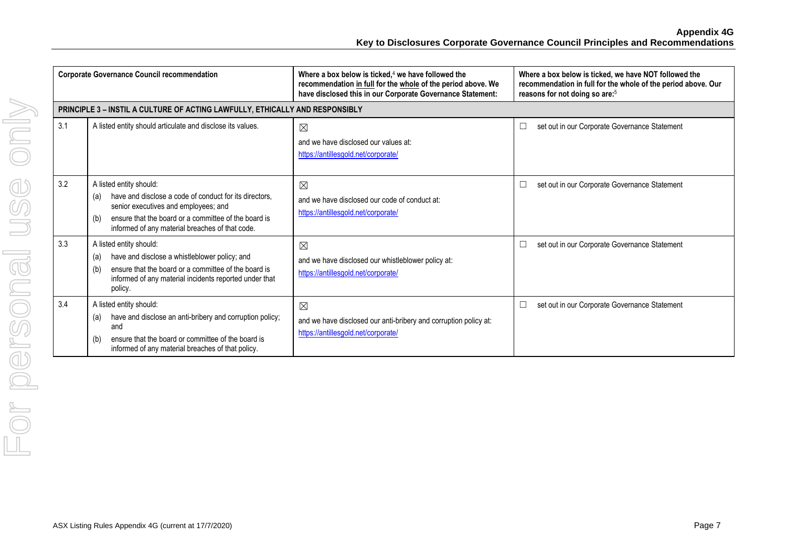**Appendix 4G Key to Disclosures Corporate Governance Council Principles and Recommendations**

| <b>Corporate Governance Council recommendation</b> |                                                                                                                                                                                                                                                    | Where a box below is ticked, $4$ we have followed the<br>recommendation in full for the whole of the period above. We<br>have disclosed this in our Corporate Governance Statement: | Where a box below is ticked, we have NOT followed the<br>recommendation in full for the whole of the period above. Our<br>reasons for not doing so are: <sup>5</sup> |
|----------------------------------------------------|----------------------------------------------------------------------------------------------------------------------------------------------------------------------------------------------------------------------------------------------------|-------------------------------------------------------------------------------------------------------------------------------------------------------------------------------------|----------------------------------------------------------------------------------------------------------------------------------------------------------------------|
|                                                    | PRINCIPLE 3 - INSTIL A CULTURE OF ACTING LAWFULLY, ETHICALLY AND RESPONSIBLY                                                                                                                                                                       |                                                                                                                                                                                     |                                                                                                                                                                      |
| 3.1                                                | A listed entity should articulate and disclose its values.                                                                                                                                                                                         | $\boxtimes$<br>and we have disclosed our values at:<br>https://antillesgold.net/corporate/                                                                                          | set out in our Corporate Governance Statement<br>□                                                                                                                   |
| 3.2                                                | A listed entity should:<br>have and disclose a code of conduct for its directors.<br>(a)<br>senior executives and employees; and<br>ensure that the board or a committee of the board is<br>(b)<br>informed of any material breaches of that code. | $\boxtimes$<br>and we have disclosed our code of conduct at:<br>https://antillesgold.net/corporate/                                                                                 | □<br>set out in our Corporate Governance Statement                                                                                                                   |
| 3.3                                                | A listed entity should:<br>have and disclose a whistleblower policy; and<br>(a)<br>ensure that the board or a committee of the board is<br>(b)<br>informed of any material incidents reported under that<br>policy.                                | ⊠<br>and we have disclosed our whistleblower policy at:<br>https://antillesgold.net/corporate/                                                                                      | $\Box$<br>set out in our Corporate Governance Statement                                                                                                              |
| 3.4                                                | A listed entity should:<br>have and disclose an anti-bribery and corruption policy;<br>(a)<br>and<br>ensure that the board or committee of the board is<br>(b)<br>informed of any material breaches of that policy.                                | $\boxtimes$<br>and we have disclosed our anti-bribery and corruption policy at:<br>https://antillesgold.net/corporate/                                                              | $\Box$<br>set out in our Corporate Governance Statement                                                                                                              |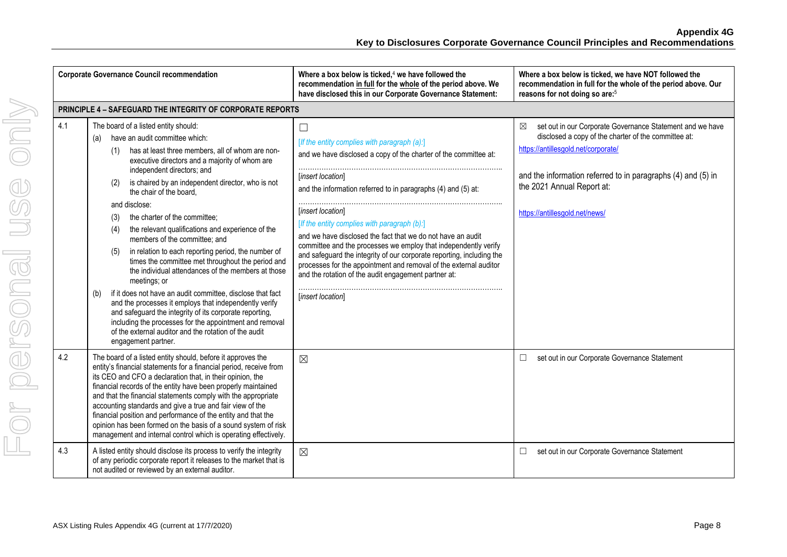|     | <b>Corporate Governance Council recommendation</b>                                                                                                                                                                                                                                                                                                                                                                                                                                                                                                                                                                                                                                                                                                                                                                                                                                                                                                                                                  | Where a box below is ticked, <sup>4</sup> we have followed the<br>recommendation in full for the whole of the period above. We<br>have disclosed this in our Corporate Governance Statement:                                                                                                                                                                                                                                                                                                                                                                                                                                                       | Where a box below is ticked, we have NOT followed the<br>recommendation in full for the whole of the period above. Our<br>reasons for not doing so are: <sup>5</sup>                                                                                                                                    |
|-----|-----------------------------------------------------------------------------------------------------------------------------------------------------------------------------------------------------------------------------------------------------------------------------------------------------------------------------------------------------------------------------------------------------------------------------------------------------------------------------------------------------------------------------------------------------------------------------------------------------------------------------------------------------------------------------------------------------------------------------------------------------------------------------------------------------------------------------------------------------------------------------------------------------------------------------------------------------------------------------------------------------|----------------------------------------------------------------------------------------------------------------------------------------------------------------------------------------------------------------------------------------------------------------------------------------------------------------------------------------------------------------------------------------------------------------------------------------------------------------------------------------------------------------------------------------------------------------------------------------------------------------------------------------------------|---------------------------------------------------------------------------------------------------------------------------------------------------------------------------------------------------------------------------------------------------------------------------------------------------------|
|     | <b>PRINCIPLE 4 - SAFEGUARD THE INTEGRITY OF CORPORATE REPORTS</b>                                                                                                                                                                                                                                                                                                                                                                                                                                                                                                                                                                                                                                                                                                                                                                                                                                                                                                                                   |                                                                                                                                                                                                                                                                                                                                                                                                                                                                                                                                                                                                                                                    |                                                                                                                                                                                                                                                                                                         |
| 4.1 | The board of a listed entity should:<br>have an audit committee which:<br>(a)<br>has at least three members, all of whom are non-<br>(1)<br>executive directors and a majority of whom are<br>independent directors; and<br>is chaired by an independent director, who is not<br>(2)<br>the chair of the board,<br>and disclose:<br>the charter of the committee;<br>(3)<br>the relevant qualifications and experience of the<br>(4)<br>members of the committee; and<br>in relation to each reporting period, the number of<br>(5)<br>times the committee met throughout the period and<br>the individual attendances of the members at those<br>meetings; or<br>if it does not have an audit committee, disclose that fact<br>(b)<br>and the processes it employs that independently verify<br>and safeguard the integrity of its corporate reporting,<br>including the processes for the appointment and removal<br>of the external auditor and the rotation of the audit<br>engagement partner. | $\Box$<br>[If the entity complies with paragraph (a):]<br>and we have disclosed a copy of the charter of the committee at:<br>[insert location]<br>and the information referred to in paragraphs (4) and (5) at:<br>[insert location]<br>[If the entity complies with paragraph (b):]<br>and we have disclosed the fact that we do not have an audit<br>committee and the processes we employ that independently verify<br>and safeguard the integrity of our corporate reporting, including the<br>processes for the appointment and removal of the external auditor<br>and the rotation of the audit engagement partner at:<br>[insert location] | set out in our Corporate Governance Statement and we have<br>$\boxtimes$<br>disclosed a copy of the charter of the committee at:<br>https://antillesgold.net/corporate/<br>and the information referred to in paragraphs (4) and (5) in<br>the 2021 Annual Report at:<br>https://antillesgold.net/news/ |
| 4.2 | The board of a listed entity should, before it approves the<br>entity's financial statements for a financial period, receive from<br>its CEO and CFO a declaration that, in their opinion, the<br>financial records of the entity have been properly maintained<br>and that the financial statements comply with the appropriate<br>accounting standards and give a true and fair view of the<br>financial position and performance of the entity and that the<br>opinion has been formed on the basis of a sound system of risk<br>management and internal control which is operating effectively.                                                                                                                                                                                                                                                                                                                                                                                                 | $\boxtimes$                                                                                                                                                                                                                                                                                                                                                                                                                                                                                                                                                                                                                                        | $\Box$<br>set out in our Corporate Governance Statement                                                                                                                                                                                                                                                 |
| 4.3 | A listed entity should disclose its process to verify the integrity<br>of any periodic corporate report it releases to the market that is<br>not audited or reviewed by an external auditor.                                                                                                                                                                                                                                                                                                                                                                                                                                                                                                                                                                                                                                                                                                                                                                                                        | $\boxtimes$                                                                                                                                                                                                                                                                                                                                                                                                                                                                                                                                                                                                                                        | set out in our Corporate Governance Statement<br>$\Box$                                                                                                                                                                                                                                                 |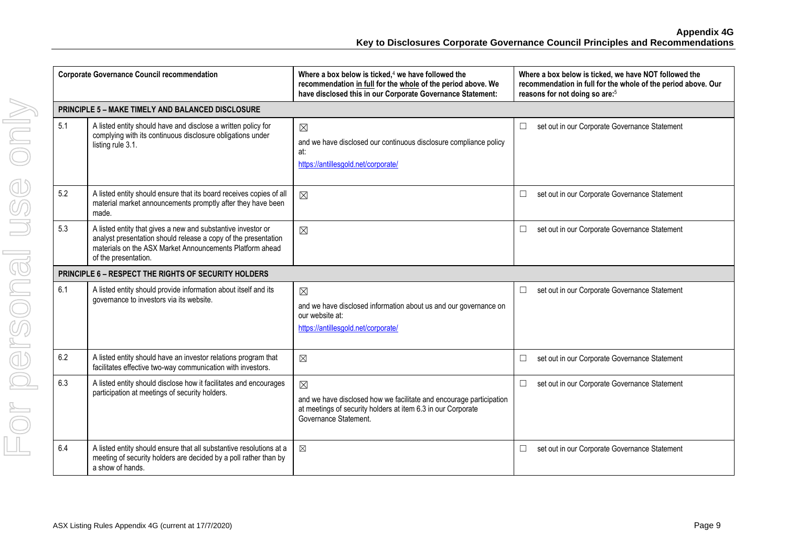| <b>Corporate Governance Council recommendation</b> |                                                                                                                                                                                                                    | Where a box below is ticked, <sup>4</sup> we have followed the<br>recommendation in full for the whole of the period above. We<br>have disclosed this in our Corporate Governance Statement: | Where a box below is ticked, we have NOT followed the<br>recommendation in full for the whole of the period above. Our<br>reasons for not doing so are: <sup>5</sup> |
|----------------------------------------------------|--------------------------------------------------------------------------------------------------------------------------------------------------------------------------------------------------------------------|----------------------------------------------------------------------------------------------------------------------------------------------------------------------------------------------|----------------------------------------------------------------------------------------------------------------------------------------------------------------------|
|                                                    | PRINCIPLE 5 - MAKE TIMELY AND BALANCED DISCLOSURE                                                                                                                                                                  |                                                                                                                                                                                              |                                                                                                                                                                      |
| 5.1                                                | A listed entity should have and disclose a written policy for<br>complying with its continuous disclosure obligations under<br>listing rule 3.1.                                                                   | $\boxtimes$<br>and we have disclosed our continuous disclosure compliance policy<br>at:<br>https://antillesgold.net/corporate/                                                               | set out in our Corporate Governance Statement<br>$\Box$                                                                                                              |
| 5.2                                                | A listed entity should ensure that its board receives copies of all<br>material market announcements promptly after they have been<br>made.                                                                        | $\boxtimes$                                                                                                                                                                                  | $\Box$<br>set out in our Corporate Governance Statement                                                                                                              |
| 5.3                                                | A listed entity that gives a new and substantive investor or<br>analyst presentation should release a copy of the presentation<br>materials on the ASX Market Announcements Platform ahead<br>of the presentation. | $\boxtimes$                                                                                                                                                                                  | $\Box$<br>set out in our Corporate Governance Statement                                                                                                              |
|                                                    | <b>PRINCIPLE 6 - RESPECT THE RIGHTS OF SECURITY HOLDERS</b>                                                                                                                                                        |                                                                                                                                                                                              |                                                                                                                                                                      |
| 6.1                                                | A listed entity should provide information about itself and its<br>governance to investors via its website.                                                                                                        | $\boxtimes$<br>and we have disclosed information about us and our governance on<br>our website at:<br>https://antillesgold.net/corporate/                                                    | $\Box$<br>set out in our Corporate Governance Statement                                                                                                              |
| 6.2                                                | A listed entity should have an investor relations program that<br>facilitates effective two-way communication with investors.                                                                                      | $\boxtimes$                                                                                                                                                                                  | $\Box$<br>set out in our Corporate Governance Statement                                                                                                              |
| 6.3                                                | A listed entity should disclose how it facilitates and encourages<br>participation at meetings of security holders.                                                                                                | $\boxtimes$<br>and we have disclosed how we facilitate and encourage participation<br>at meetings of security holders at item 6.3 in our Corporate<br>Governance Statement                   | $\Box$<br>set out in our Corporate Governance Statement                                                                                                              |
| 6.4                                                | A listed entity should ensure that all substantive resolutions at a<br>meeting of security holders are decided by a poll rather than by<br>a show of hands.                                                        | $\boxtimes$                                                                                                                                                                                  | set out in our Corporate Governance Statement<br>$\Box$                                                                                                              |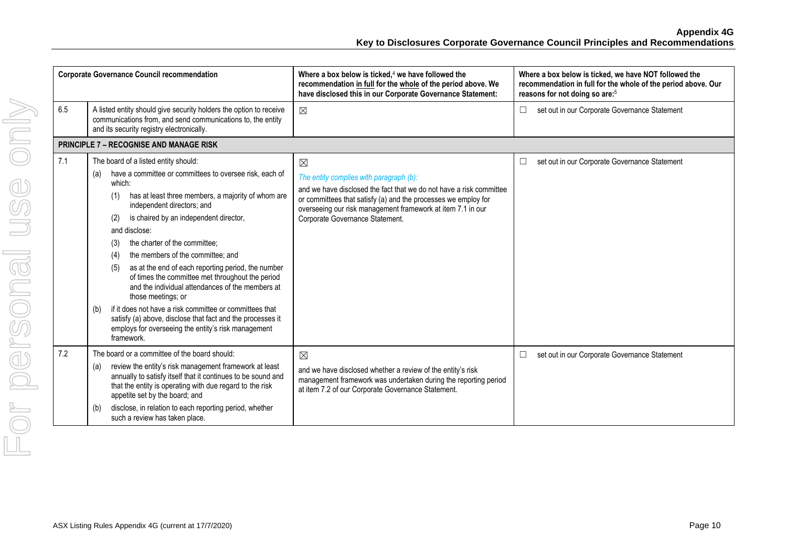| <b>Corporate Governance Council recommendation</b> |                                                                                                                                                                                                                                                                                                                                                                                                                                                                                                                                                                                                                                                                                                                                                                   | Where a box below is ticked, $4$ we have followed the<br>recommendation in full for the whole of the period above. We<br>have disclosed this in our Corporate Governance Statement:                                                                                                               | Where a box below is ticked, we have NOT followed the<br>recommendation in full for the whole of the period above. Our<br>reasons for not doing so are: <sup>5</sup> |
|----------------------------------------------------|-------------------------------------------------------------------------------------------------------------------------------------------------------------------------------------------------------------------------------------------------------------------------------------------------------------------------------------------------------------------------------------------------------------------------------------------------------------------------------------------------------------------------------------------------------------------------------------------------------------------------------------------------------------------------------------------------------------------------------------------------------------------|---------------------------------------------------------------------------------------------------------------------------------------------------------------------------------------------------------------------------------------------------------------------------------------------------|----------------------------------------------------------------------------------------------------------------------------------------------------------------------|
| 6.5                                                | A listed entity should give security holders the option to receive<br>communications from, and send communications to, the entity<br>and its security registry electronically.                                                                                                                                                                                                                                                                                                                                                                                                                                                                                                                                                                                    | $\boxtimes$                                                                                                                                                                                                                                                                                       | set out in our Corporate Governance Statement<br>$\Box$                                                                                                              |
|                                                    | <b>PRINCIPLE 7 - RECOGNISE AND MANAGE RISK</b>                                                                                                                                                                                                                                                                                                                                                                                                                                                                                                                                                                                                                                                                                                                    |                                                                                                                                                                                                                                                                                                   |                                                                                                                                                                      |
| 7.1                                                | The board of a listed entity should:<br>have a committee or committees to oversee risk, each of<br>(a)<br>which:<br>has at least three members, a majority of whom are<br>(1)<br>independent directors; and<br>is chaired by an independent director,<br>(2)<br>and disclose:<br>the charter of the committee;<br>(3)<br>the members of the committee; and<br>(4)<br>as at the end of each reporting period, the number<br>(5)<br>of times the committee met throughout the period<br>and the individual attendances of the members at<br>those meetings; or<br>if it does not have a risk committee or committees that<br>(b)<br>satisfy (a) above, disclose that fact and the processes it<br>employs for overseeing the entity's risk management<br>framework. | $\boxtimes$<br>The entity complies with paragraph (b):<br>and we have disclosed the fact that we do not have a risk committee<br>or committees that satisfy (a) and the processes we employ for<br>overseeing our risk management framework at item 7.1 in our<br>Corporate Governance Statement. | set out in our Corporate Governance Statement<br>$\Box$                                                                                                              |
| 7.2                                                | The board or a committee of the board should:<br>review the entity's risk management framework at least<br>(a)<br>annually to satisfy itself that it continues to be sound and<br>that the entity is operating with due regard to the risk<br>appetite set by the board; and<br>disclose, in relation to each reporting period, whether<br>(b)<br>such a review has taken place.                                                                                                                                                                                                                                                                                                                                                                                  | $\boxtimes$<br>and we have disclosed whether a review of the entity's risk<br>management framework was undertaken during the reporting period<br>at item 7.2 of our Corporate Governance Statement.                                                                                               | set out in our Corporate Governance Statement<br>$\Box$                                                                                                              |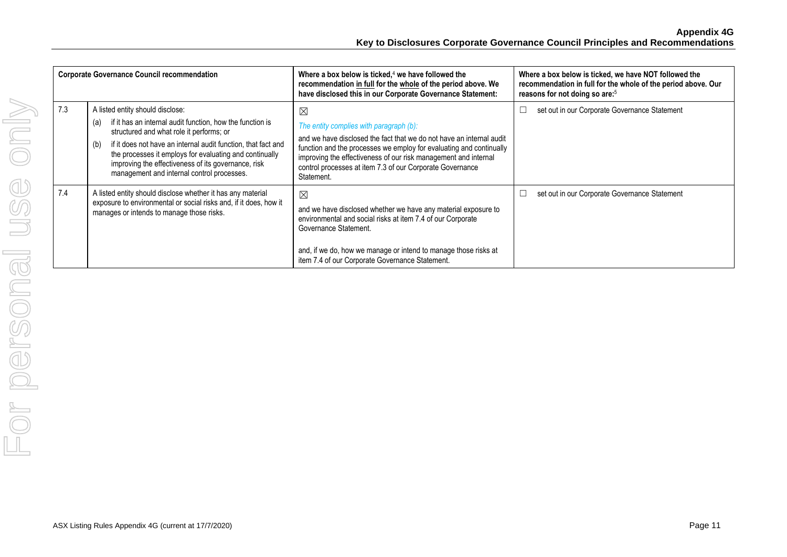| <b>Corporate Governance Council recommendation</b> |                                                                                                                                                                                                                                                                                                                                                                                          | Where a box below is ticked, $4$ we have followed the<br>recommendation in full for the whole of the period above. We<br>have disclosed this in our Corporate Governance Statement:                                                                                                                                                                 | Where a box below is ticked, we have NOT followed the<br>recommendation in full for the whole of the period above. Our<br>reasons for not doing so are: <sup>5</sup> |
|----------------------------------------------------|------------------------------------------------------------------------------------------------------------------------------------------------------------------------------------------------------------------------------------------------------------------------------------------------------------------------------------------------------------------------------------------|-----------------------------------------------------------------------------------------------------------------------------------------------------------------------------------------------------------------------------------------------------------------------------------------------------------------------------------------------------|----------------------------------------------------------------------------------------------------------------------------------------------------------------------|
| 7.3                                                | A listed entity should disclose:<br>if it has an internal audit function, how the function is<br>(a)<br>structured and what role it performs; or<br>if it does not have an internal audit function, that fact and<br>(b)<br>the processes it employs for evaluating and continually<br>improving the effectiveness of its governance, risk<br>management and internal control processes. | $\boxtimes$<br>The entity complies with paragraph (b):<br>and we have disclosed the fact that we do not have an internal audit<br>function and the processes we employ for evaluating and continually<br>improving the effectiveness of our risk management and internal<br>control processes at item 7.3 of our Corporate Governance<br>Statement. | set out in our Corporate Governance Statement<br>□                                                                                                                   |
| 7.4                                                | A listed entity should disclose whether it has any material<br>exposure to environmental or social risks and, if it does, how it<br>manages or intends to manage those risks.                                                                                                                                                                                                            | $\boxtimes$<br>and we have disclosed whether we have any material exposure to<br>environmental and social risks at item 7.4 of our Corporate<br>Governance Statement.<br>and, if we do, how we manage or intend to manage those risks at<br>item 7.4 of our Corporate Governance Statement.                                                         | set out in our Corporate Governance Statement<br>□                                                                                                                   |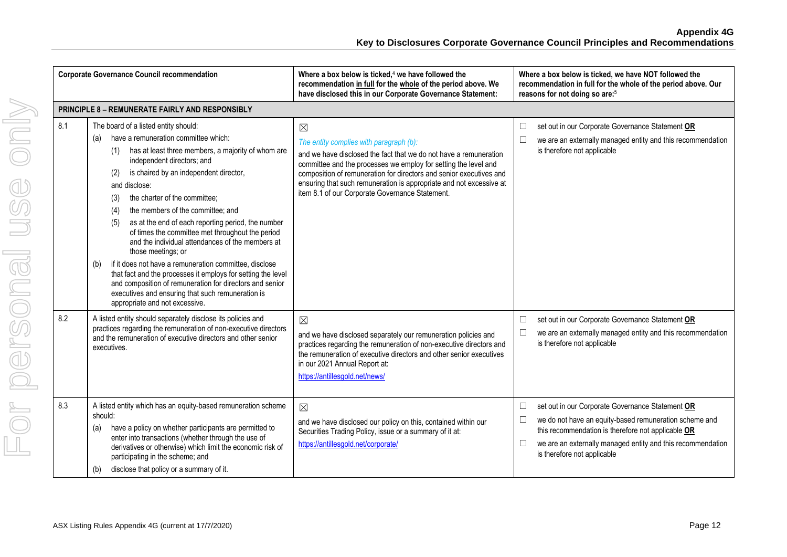|     | <b>Corporate Governance Council recommendation</b>                                                                                                                                                                                                                                                                                                                                                                                                                                                                                                                                                                                                                                                                                                                                                                  | Where a box below is ticked, $4$ we have followed the<br>recommendation in full for the whole of the period above. We<br>have disclosed this in our Corporate Governance Statement:                                                                                                                                                                                                             | Where a box below is ticked, we have NOT followed the<br>recommendation in full for the whole of the period above. Our<br>reasons for not doing so are: <sup>5</sup>                                                                                                                         |
|-----|---------------------------------------------------------------------------------------------------------------------------------------------------------------------------------------------------------------------------------------------------------------------------------------------------------------------------------------------------------------------------------------------------------------------------------------------------------------------------------------------------------------------------------------------------------------------------------------------------------------------------------------------------------------------------------------------------------------------------------------------------------------------------------------------------------------------|-------------------------------------------------------------------------------------------------------------------------------------------------------------------------------------------------------------------------------------------------------------------------------------------------------------------------------------------------------------------------------------------------|----------------------------------------------------------------------------------------------------------------------------------------------------------------------------------------------------------------------------------------------------------------------------------------------|
|     | PRINCIPLE 8 - REMUNERATE FAIRLY AND RESPONSIBLY                                                                                                                                                                                                                                                                                                                                                                                                                                                                                                                                                                                                                                                                                                                                                                     |                                                                                                                                                                                                                                                                                                                                                                                                 |                                                                                                                                                                                                                                                                                              |
| 8.1 | The board of a listed entity should:<br>have a remuneration committee which:<br>(a)<br>has at least three members, a majority of whom are<br>(1)<br>independent directors; and<br>is chaired by an independent director,<br>(2)<br>and disclose:<br>the charter of the committee;<br>(3)<br>the members of the committee; and<br>(4)<br>as at the end of each reporting period, the number<br>(5)<br>of times the committee met throughout the period<br>and the individual attendances of the members at<br>those meetings; or<br>if it does not have a remuneration committee, disclose<br>(b)<br>that fact and the processes it employs for setting the level<br>and composition of remuneration for directors and senior<br>executives and ensuring that such remuneration is<br>appropriate and not excessive. | $\boxtimes$<br>The entity complies with paragraph (b):<br>and we have disclosed the fact that we do not have a remuneration<br>committee and the processes we employ for setting the level and<br>composition of remuneration for directors and senior executives and<br>ensuring that such remuneration is appropriate and not excessive at<br>item 8.1 of our Corporate Governance Statement. | set out in our Corporate Governance Statement OR<br>$\Box$<br>$\Box$<br>we are an externally managed entity and this recommendation<br>is therefore not applicable                                                                                                                           |
| 8.2 | A listed entity should separately disclose its policies and<br>practices regarding the remuneration of non-executive directors<br>and the remuneration of executive directors and other senior<br>executives.                                                                                                                                                                                                                                                                                                                                                                                                                                                                                                                                                                                                       | $\boxtimes$<br>and we have disclosed separately our remuneration policies and<br>practices regarding the remuneration of non-executive directors and<br>the remuneration of executive directors and other senior executives<br>in our 2021 Annual Report at:<br>https://antillesgold.net/news/                                                                                                  | set out in our Corporate Governance Statement OR<br>$\Box$<br>we are an externally managed entity and this recommendation<br>is therefore not applicable                                                                                                                                     |
| 8.3 | A listed entity which has an equity-based remuneration scheme<br>should:<br>have a policy on whether participants are permitted to<br>(a)<br>enter into transactions (whether through the use of<br>derivatives or otherwise) which limit the economic risk of<br>participating in the scheme; and<br>disclose that policy or a summary of it.<br>(b)                                                                                                                                                                                                                                                                                                                                                                                                                                                               | $\boxtimes$<br>and we have disclosed our policy on this, contained within our<br>Securities Trading Policy, issue or a summary of it at:<br>https://antillesgold.net/corporate/                                                                                                                                                                                                                 | set out in our Corporate Governance Statement OR<br>$\Box$<br>we do not have an equity-based remuneration scheme and<br>$\Box$<br>this recommendation is therefore not applicable OR<br>we are an externally managed entity and this recommendation<br>$\Box$<br>is therefore not applicable |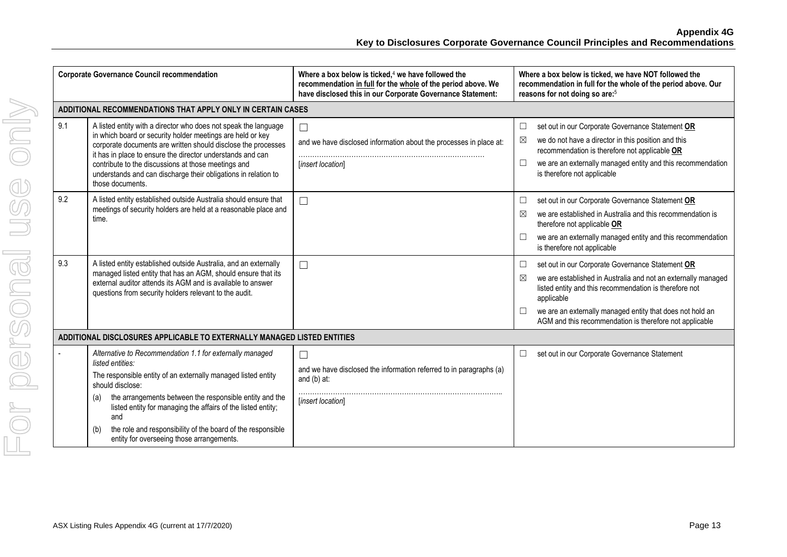| <b>Corporate Governance Council recommendation</b> |                                                                                                                                                                                                                                                                                                                                                                                                                               | Where a box below is ticked, $4$ we have followed the<br>recommendation in full for the whole of the period above. We<br>have disclosed this in our Corporate Governance Statement: | Where a box below is ticked, we have NOT followed the<br>recommendation in full for the whole of the period above. Our<br>reasons for not doing so are: <sup>5</sup>                                                                                                                                                                       |  |
|----------------------------------------------------|-------------------------------------------------------------------------------------------------------------------------------------------------------------------------------------------------------------------------------------------------------------------------------------------------------------------------------------------------------------------------------------------------------------------------------|-------------------------------------------------------------------------------------------------------------------------------------------------------------------------------------|--------------------------------------------------------------------------------------------------------------------------------------------------------------------------------------------------------------------------------------------------------------------------------------------------------------------------------------------|--|
|                                                    | ADDITIONAL RECOMMENDATIONS THAT APPLY ONLY IN CERTAIN CASES                                                                                                                                                                                                                                                                                                                                                                   |                                                                                                                                                                                     |                                                                                                                                                                                                                                                                                                                                            |  |
| 9.1                                                | A listed entity with a director who does not speak the language<br>in which board or security holder meetings are held or key<br>corporate documents are written should disclose the processes<br>it has in place to ensure the director understands and can<br>contribute to the discussions at those meetings and<br>understands and can discharge their obligations in relation to<br>those documents.                     | $\Box$<br>and we have disclosed information about the processes in place at:<br>[insert location]                                                                                   | set out in our Corporate Governance Statement OR<br>□<br>we do not have a director in this position and this<br>⊠<br>recommendation is therefore not applicable OR<br>we are an externally managed entity and this recommendation<br>$\Box$<br>is therefore not applicable                                                                 |  |
| 9.2                                                | A listed entity established outside Australia should ensure that<br>meetings of security holders are held at a reasonable place and<br>time.                                                                                                                                                                                                                                                                                  | $\Box$                                                                                                                                                                              | $\Box$<br>set out in our Corporate Governance Statement OR<br>we are established in Australia and this recommendation is<br>⊠<br>therefore not applicable OR<br>we are an externally managed entity and this recommendation<br>$\Box$<br>is therefore not applicable                                                                       |  |
| 9.3                                                | A listed entity established outside Australia, and an externally<br>managed listed entity that has an AGM, should ensure that its<br>external auditor attends its AGM and is available to answer<br>questions from security holders relevant to the audit.                                                                                                                                                                    | $\Box$                                                                                                                                                                              | $\Box$<br>set out in our Corporate Governance Statement OR<br>we are established in Australia and not an externally managed<br>⊠<br>listed entity and this recommendation is therefore not<br>applicable<br>we are an externally managed entity that does not hold an<br>$\Box$<br>AGM and this recommendation is therefore not applicable |  |
|                                                    | ADDITIONAL DISCLOSURES APPLICABLE TO EXTERNALLY MANAGED LISTED ENTITIES                                                                                                                                                                                                                                                                                                                                                       |                                                                                                                                                                                     |                                                                                                                                                                                                                                                                                                                                            |  |
|                                                    | Alternative to Recommendation 1.1 for externally managed<br>listed entities:<br>The responsible entity of an externally managed listed entity<br>should disclose:<br>the arrangements between the responsible entity and the<br>(a)<br>listed entity for managing the affairs of the listed entity;<br>and<br>the role and responsibility of the board of the responsible<br>(b)<br>entity for overseeing those arrangements. | $\Box$<br>and we have disclosed the information referred to in paragraphs (a)<br>and $(b)$ at:<br>[insert location]                                                                 | $\Box$<br>set out in our Corporate Governance Statement                                                                                                                                                                                                                                                                                    |  |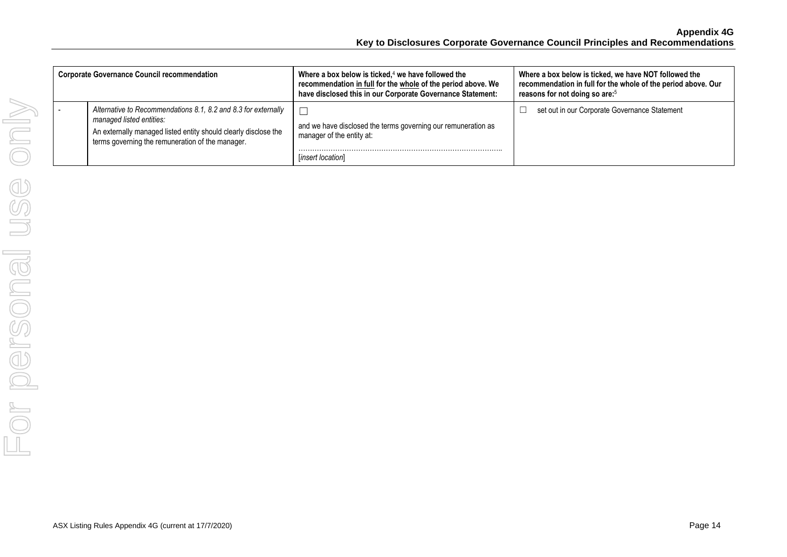| <b>Corporate Governance Council recommendation</b> |                                                                                                                                                                                                                   | Where a box below is ticked, $4$ we have followed the<br>recommendation in full for the whole of the period above. We<br>have disclosed this in our Corporate Governance Statement: | Where a box below is ticked, we have NOT followed the<br>recommendation in full for the whole of the period above. Our<br>reasons for not doing so are: <sup>5</sup> |
|----------------------------------------------------|-------------------------------------------------------------------------------------------------------------------------------------------------------------------------------------------------------------------|-------------------------------------------------------------------------------------------------------------------------------------------------------------------------------------|----------------------------------------------------------------------------------------------------------------------------------------------------------------------|
|                                                    | Alternative to Recommendations 8.1, 8.2 and 8.3 for externally<br>managed listed entities:<br>An externally managed listed entity should clearly disclose the<br>terms governing the remuneration of the manager. | and we have disclosed the terms governing our remuneration as<br>manager of the entity at:<br>[insert location]                                                                     | set out in our Corporate Governance Statement                                                                                                                        |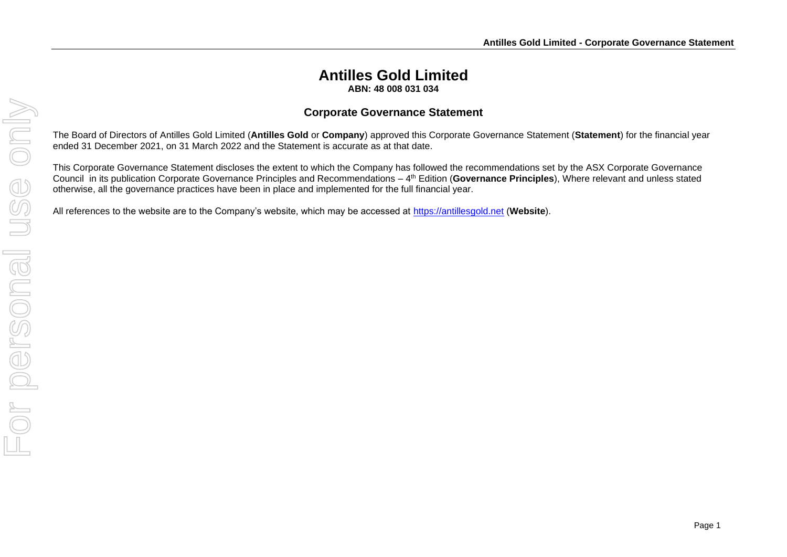### **Antilles Gold Limited ABN: 48 008 031 034**

#### **Corporate Governance Statement**

The Board of Directors of Antilles Gold Limited (**Antilles Gold** or **Company**) approved this Corporate Governance Statement (**Statement**) for the financial year ended 31 December 2021, on 31 March 2022 and the Statement is accurate as at that date.

This Corporate Governance Statement discloses the extent to which the Company has followed the recommendations set by the ASX Corporate Governance Council in its publication Corporate Governance Principles and Recommendations – 4 th Edition (**Governance Principles**), Where relevant and unless stated otherwise, all the governance practices have been in place and implemented for the full financial year.

All references to the website are to the Company's website, which may be accessed at [https://antillesgold.net](https://antillesgold.net/) (**Website**).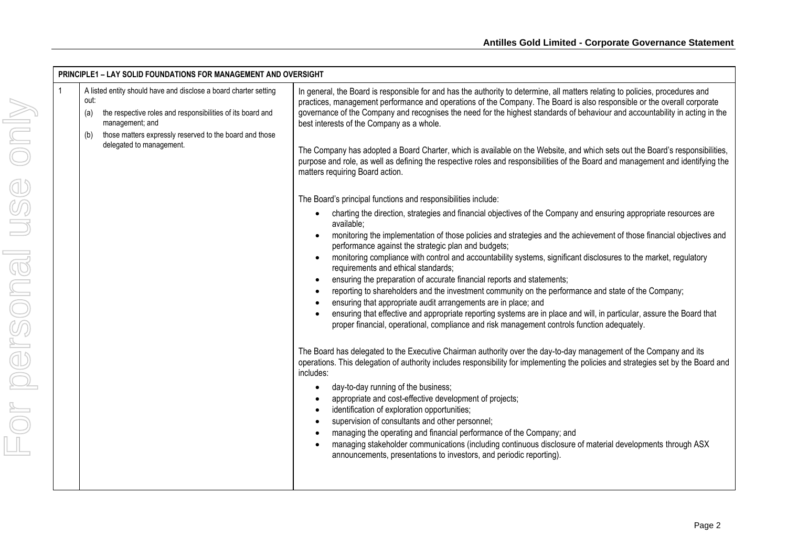| A listed entity should have and disclose a board charter setting<br>out:<br>the respective roles and responsibilities of its board and<br>(a) | In general, the Board is responsible for and has the authority to determine, all matters relating to policies, procedures and<br>practices, management performance and operations of the Company. The Board is also responsible or the overall corporate<br>governance of the Company and recognises the need for the highest standards of behaviour and accountability in acting in the |
|-----------------------------------------------------------------------------------------------------------------------------------------------|------------------------------------------------------------------------------------------------------------------------------------------------------------------------------------------------------------------------------------------------------------------------------------------------------------------------------------------------------------------------------------------|
| management; and<br>those matters expressly reserved to the board and those<br>(b)<br>delegated to management.                                 | best interests of the Company as a whole.<br>The Company has adopted a Board Charter, which is available on the Website, and which sets out the Board's responsibilities,<br>purpose and role, as well as defining the respective roles and responsibilities of the Board and management and identifying the<br>matters requiring Board action.                                          |
|                                                                                                                                               | The Board's principal functions and responsibilities include:                                                                                                                                                                                                                                                                                                                            |
|                                                                                                                                               | charting the direction, strategies and financial objectives of the Company and ensuring appropriate resources are<br>$\bullet$<br>available;                                                                                                                                                                                                                                             |
|                                                                                                                                               | monitoring the implementation of those policies and strategies and the achievement of those financial objectives and<br>performance against the strategic plan and budgets;                                                                                                                                                                                                              |
|                                                                                                                                               | monitoring compliance with control and accountability systems, significant disclosures to the market, regulatory<br>requirements and ethical standards;                                                                                                                                                                                                                                  |
|                                                                                                                                               | ensuring the preparation of accurate financial reports and statements;<br>reporting to shareholders and the investment community on the performance and state of the Company;                                                                                                                                                                                                            |
|                                                                                                                                               | ensuring that appropriate audit arrangements are in place; and                                                                                                                                                                                                                                                                                                                           |
|                                                                                                                                               | ensuring that effective and appropriate reporting systems are in place and will, in particular, assure the Board that<br>proper financial, operational, compliance and risk management controls function adequately.                                                                                                                                                                     |
|                                                                                                                                               | The Board has delegated to the Executive Chairman authority over the day-to-day management of the Company and its<br>operations. This delegation of authority includes responsibility for implementing the policies and strategies set by the Board and<br>includes:                                                                                                                     |
|                                                                                                                                               | day-to-day running of the business;<br>$\bullet$<br>appropriate and cost-effective development of projects;                                                                                                                                                                                                                                                                              |
|                                                                                                                                               | identification of exploration opportunities;                                                                                                                                                                                                                                                                                                                                             |
|                                                                                                                                               | supervision of consultants and other personnel;                                                                                                                                                                                                                                                                                                                                          |
|                                                                                                                                               | managing the operating and financial performance of the Company; and<br>managing stakeholder communications (including continuous disclosure of material developments through ASX                                                                                                                                                                                                        |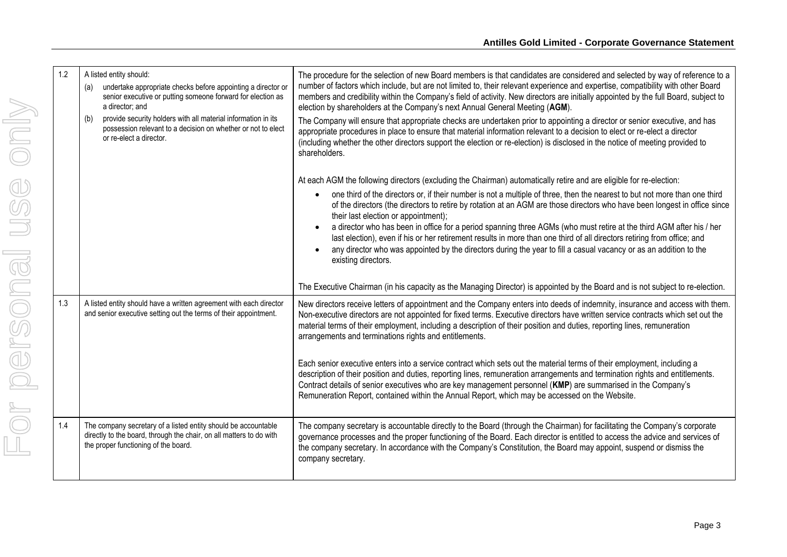| 1.2 | A listed entity should:<br>undertake appropriate checks before appointing a director or<br>(a)<br>senior executive or putting someone forward for election as<br>a director; and | The procedure for the selection of new Board members is that candidates are considered and selected by way of reference to a<br>number of factors which include, but are not limited to, their relevant experience and expertise, compatibility with other Board<br>members and credibility within the Company's field of activity. New directors are initially appointed by the full Board, subject to<br>election by shareholders at the Company's next Annual General Meeting (AGM).                                                                                                                                                                                                        |
|-----|----------------------------------------------------------------------------------------------------------------------------------------------------------------------------------|------------------------------------------------------------------------------------------------------------------------------------------------------------------------------------------------------------------------------------------------------------------------------------------------------------------------------------------------------------------------------------------------------------------------------------------------------------------------------------------------------------------------------------------------------------------------------------------------------------------------------------------------------------------------------------------------|
|     | provide security holders with all material information in its<br>(b)<br>possession relevant to a decision on whether or not to elect<br>or re-elect a director.                  | The Company will ensure that appropriate checks are undertaken prior to appointing a director or senior executive, and has<br>appropriate procedures in place to ensure that material information relevant to a decision to elect or re-elect a director<br>(including whether the other directors support the election or re-election) is disclosed in the notice of meeting provided to<br>shareholders.                                                                                                                                                                                                                                                                                     |
|     |                                                                                                                                                                                  | At each AGM the following directors (excluding the Chairman) automatically retire and are eligible for re-election:                                                                                                                                                                                                                                                                                                                                                                                                                                                                                                                                                                            |
|     |                                                                                                                                                                                  | one third of the directors or, if their number is not a multiple of three, then the nearest to but not more than one third<br>of the directors (the directors to retire by rotation at an AGM are those directors who have been longest in office since<br>their last election or appointment);<br>a director who has been in office for a period spanning three AGMs (who must retire at the third AGM after his / her<br>last election), even if his or her retirement results in more than one third of all directors retiring from office; and<br>any director who was appointed by the directors during the year to fill a casual vacancy or as an addition to the<br>existing directors. |
|     |                                                                                                                                                                                  | The Executive Chairman (in his capacity as the Managing Director) is appointed by the Board and is not subject to re-election.                                                                                                                                                                                                                                                                                                                                                                                                                                                                                                                                                                 |
| 1.3 | A listed entity should have a written agreement with each director<br>and senior executive setting out the terms of their appointment.                                           | New directors receive letters of appointment and the Company enters into deeds of indemnity, insurance and access with them.<br>Non-executive directors are not appointed for fixed terms. Executive directors have written service contracts which set out the<br>material terms of their employment, including a description of their position and duties, reporting lines, remuneration<br>arrangements and terminations rights and entitlements.                                                                                                                                                                                                                                           |
|     |                                                                                                                                                                                  | Each senior executive enters into a service contract which sets out the material terms of their employment, including a<br>description of their position and duties, reporting lines, remuneration arrangements and termination rights and entitlements.<br>Contract details of senior executives who are key management personnel (KMP) are summarised in the Company's<br>Remuneration Report, contained within the Annual Report, which may be accessed on the Website.                                                                                                                                                                                                                     |
| 1.4 | The company secretary of a listed entity should be accountable<br>directly to the board, through the chair, on all matters to do with<br>the proper functioning of the board.    | The company secretary is accountable directly to the Board (through the Chairman) for facilitating the Company's corporate<br>governance processes and the proper functioning of the Board. Each director is entitled to access the advice and services of<br>the company secretary. In accordance with the Company's Constitution, the Board may appoint, suspend or dismiss the<br>company secretary.                                                                                                                                                                                                                                                                                        |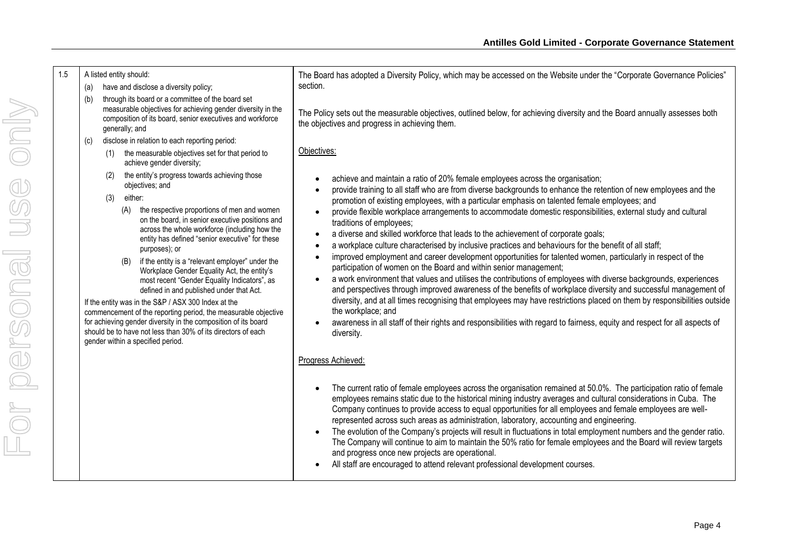| 1.5 | A listed entity should:<br>have and disclose a diversity policy;<br>(a)                                                                                                                                                                                                                                                                                                                                                                                                                                                                                                                                                                                                                                                                            | The Board has adopted a Diversity Policy, which may be accessed on the Website under the "Corporate Governance Policies"<br>section.                                                                                                                                                                                                                                                                                                                                                                                                                                                                                                                                                                                                                                                                                                                                                                                                                                                                                                                                                                                                                                          |
|-----|----------------------------------------------------------------------------------------------------------------------------------------------------------------------------------------------------------------------------------------------------------------------------------------------------------------------------------------------------------------------------------------------------------------------------------------------------------------------------------------------------------------------------------------------------------------------------------------------------------------------------------------------------------------------------------------------------------------------------------------------------|-------------------------------------------------------------------------------------------------------------------------------------------------------------------------------------------------------------------------------------------------------------------------------------------------------------------------------------------------------------------------------------------------------------------------------------------------------------------------------------------------------------------------------------------------------------------------------------------------------------------------------------------------------------------------------------------------------------------------------------------------------------------------------------------------------------------------------------------------------------------------------------------------------------------------------------------------------------------------------------------------------------------------------------------------------------------------------------------------------------------------------------------------------------------------------|
|     | through its board or a committee of the board set<br>(b)<br>measurable objectives for achieving gender diversity in the<br>composition of its board, senior executives and workforce<br>generally; and                                                                                                                                                                                                                                                                                                                                                                                                                                                                                                                                             | The Policy sets out the measurable objectives, outlined below, for achieving diversity and the Board annually assesses both<br>the objectives and progress in achieving them.                                                                                                                                                                                                                                                                                                                                                                                                                                                                                                                                                                                                                                                                                                                                                                                                                                                                                                                                                                                                 |
|     | disclose in relation to each reporting period:<br>(c)                                                                                                                                                                                                                                                                                                                                                                                                                                                                                                                                                                                                                                                                                              |                                                                                                                                                                                                                                                                                                                                                                                                                                                                                                                                                                                                                                                                                                                                                                                                                                                                                                                                                                                                                                                                                                                                                                               |
|     | the measurable objectives set for that period to<br>(1)<br>achieve gender diversity;                                                                                                                                                                                                                                                                                                                                                                                                                                                                                                                                                                                                                                                               | Objectives:                                                                                                                                                                                                                                                                                                                                                                                                                                                                                                                                                                                                                                                                                                                                                                                                                                                                                                                                                                                                                                                                                                                                                                   |
|     | the entity's progress towards achieving those<br>(2)<br>objectives; and                                                                                                                                                                                                                                                                                                                                                                                                                                                                                                                                                                                                                                                                            | achieve and maintain a ratio of 20% female employees across the organisation;<br>provide training to all staff who are from diverse backgrounds to enhance the retention of new employees and the                                                                                                                                                                                                                                                                                                                                                                                                                                                                                                                                                                                                                                                                                                                                                                                                                                                                                                                                                                             |
|     | either:<br>(3)<br>the respective proportions of men and women<br>(A)<br>on the board, in senior executive positions and<br>across the whole workforce (including how the<br>entity has defined "senior executive" for these<br>purposes); or<br>if the entity is a "relevant employer" under the<br>(B)<br>Workplace Gender Equality Act, the entity's<br>most recent "Gender Equality Indicators", as<br>defined in and published under that Act.<br>If the entity was in the S&P / ASX 300 Index at the<br>commencement of the reporting period, the measurable objective<br>for achieving gender diversity in the composition of its board<br>should be to have not less than 30% of its directors of each<br>gender within a specified period. | promotion of existing employees, with a particular emphasis on talented female employees; and<br>provide flexible workplace arrangements to accommodate domestic responsibilities, external study and cultural<br>traditions of employees;<br>a diverse and skilled workforce that leads to the achievement of corporate goals;<br>$\bullet$<br>a workplace culture characterised by inclusive practices and behaviours for the benefit of all staff;<br>improved employment and career development opportunities for talented women, particularly in respect of the<br>participation of women on the Board and within senior management;<br>a work environment that values and utilises the contributions of employees with diverse backgrounds, experiences<br>and perspectives through improved awareness of the benefits of workplace diversity and successful management of<br>diversity, and at all times recognising that employees may have restrictions placed on them by responsibilities outside<br>the workplace; and<br>awareness in all staff of their rights and responsibilities with regard to fairness, equity and respect for all aspects of<br>diversity. |
|     |                                                                                                                                                                                                                                                                                                                                                                                                                                                                                                                                                                                                                                                                                                                                                    | Progress Achieved:<br>The current ratio of female employees across the organisation remained at 50.0%. The participation ratio of female<br>employees remains static due to the historical mining industry averages and cultural considerations in Cuba. The                                                                                                                                                                                                                                                                                                                                                                                                                                                                                                                                                                                                                                                                                                                                                                                                                                                                                                                  |
|     |                                                                                                                                                                                                                                                                                                                                                                                                                                                                                                                                                                                                                                                                                                                                                    | Company continues to provide access to equal opportunities for all employees and female employees are well-<br>represented across such areas as administration, laboratory, accounting and engineering.<br>The evolution of the Company's projects will result in fluctuations in total employment numbers and the gender ratio.<br>The Company will continue to aim to maintain the 50% ratio for female employees and the Board will review targets<br>and progress once new projects are operational.<br>All staff are encouraged to attend relevant professional development courses.                                                                                                                                                                                                                                                                                                                                                                                                                                                                                                                                                                                     |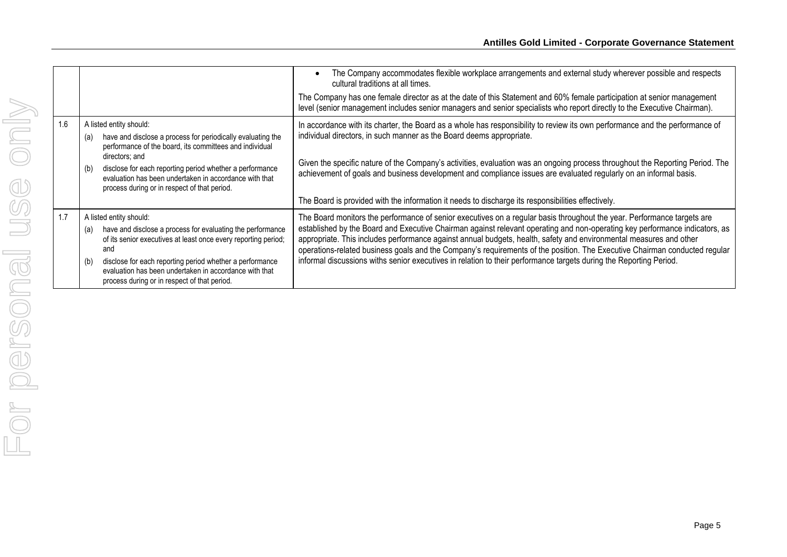|     |                                                                                                                                                                                                                                                                                                                                                    | The Company accommodates flexible workplace arrangements and external study wherever possible and respects<br>cultural traditions at all times.                                                                                                                                                                                                                                                                                                                                                                                                                                                                                  |
|-----|----------------------------------------------------------------------------------------------------------------------------------------------------------------------------------------------------------------------------------------------------------------------------------------------------------------------------------------------------|----------------------------------------------------------------------------------------------------------------------------------------------------------------------------------------------------------------------------------------------------------------------------------------------------------------------------------------------------------------------------------------------------------------------------------------------------------------------------------------------------------------------------------------------------------------------------------------------------------------------------------|
|     |                                                                                                                                                                                                                                                                                                                                                    | The Company has one female director as at the date of this Statement and 60% female participation at senior management<br>level (senior management includes senior managers and senior specialists who report directly to the Executive Chairman).                                                                                                                                                                                                                                                                                                                                                                               |
| 1.6 | A listed entity should:<br>have and disclose a process for periodically evaluating the<br>(a)<br>performance of the board, its committees and individual                                                                                                                                                                                           | In accordance with its charter, the Board as a whole has responsibility to review its own performance and the performance of<br>individual directors, in such manner as the Board deems appropriate.                                                                                                                                                                                                                                                                                                                                                                                                                             |
|     | directors; and<br>disclose for each reporting period whether a performance<br>(b)<br>evaluation has been undertaken in accordance with that<br>process during or in respect of that period.                                                                                                                                                        | Given the specific nature of the Company's activities, evaluation was an ongoing process throughout the Reporting Period. The<br>achievement of goals and business development and compliance issues are evaluated regularly on an informal basis.                                                                                                                                                                                                                                                                                                                                                                               |
|     |                                                                                                                                                                                                                                                                                                                                                    | The Board is provided with the information it needs to discharge its responsibilities effectively.                                                                                                                                                                                                                                                                                                                                                                                                                                                                                                                               |
| 1.7 | A listed entity should:<br>have and disclose a process for evaluating the performance<br>(a)<br>of its senior executives at least once every reporting period;<br>and<br>disclose for each reporting period whether a performance<br>(b)<br>evaluation has been undertaken in accordance with that<br>process during or in respect of that period. | The Board monitors the performance of senior executives on a regular basis throughout the year. Performance targets are<br>established by the Board and Executive Chairman against relevant operating and non-operating key performance indicators, as<br>appropriate. This includes performance against annual budgets, health, safety and environmental measures and other<br>operations-related business goals and the Company's requirements of the position. The Executive Chairman conducted regular<br>informal discussions withs senior executives in relation to their performance targets during the Reporting Period. |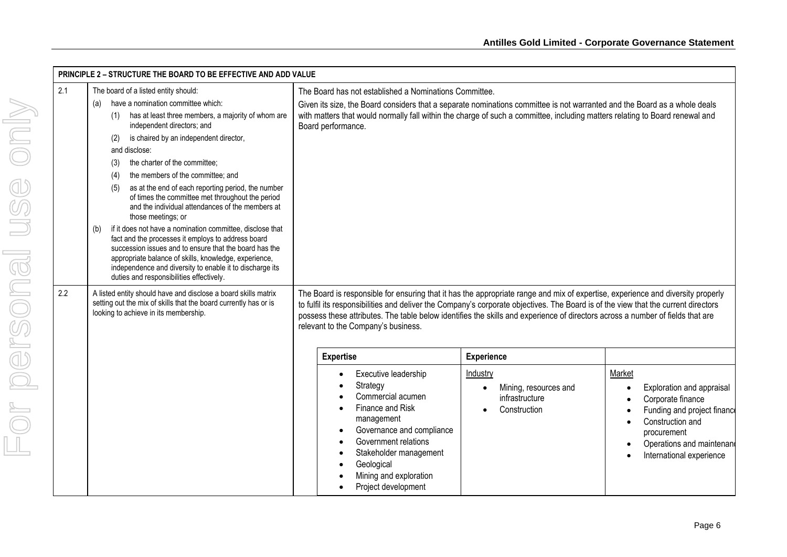| 2.1<br>2.2 | <b>PRINCIPLE 2 - STRUCTURE THE BOARD TO BE EFFECTIVE AND ADD VALUE</b><br>The board of a listed entity should:<br>have a nomination committee which:<br>(a)<br>has at least three members, a majority of whom are<br>(1)<br>independent directors; and<br>is chaired by an independent director,<br>(2)<br>and disclose:<br>the charter of the committee;<br>(3)<br>the members of the committee; and<br>(4)<br>as at the end of each reporting period, the number<br>(5)<br>of times the committee met throughout the period<br>and the individual attendances of the members at<br>those meetings; or<br>if it does not have a nomination committee, disclose that<br>(b)<br>fact and the processes it employs to address board<br>succession issues and to ensure that the board has the<br>appropriate balance of skills, knowledge, experience,<br>independence and diversity to enable it to discharge its<br>duties and responsibilities effectively.<br>A listed entity should have and disclose a board skills matrix<br>setting out the mix of skills that the board currently has or is<br>looking to achieve in its membership. | The Board has not established a Nominations Committee.<br>Given its size, the Board considers that a separate nominations committee is not warranted and the Board as a whole deals<br>with matters that would normally fall within the charge of such a committee, including matters relating to Board renewal and<br>Board performance.<br>The Board is responsible for ensuring that it has the appropriate range and mix of expertise, experience and diversity properly<br>to fulfil its responsibilities and deliver the Company's corporate objectives. The Board is of the view that the current directors |                                                                                                       |                                                                                                                                                                                     |
|------------|---------------------------------------------------------------------------------------------------------------------------------------------------------------------------------------------------------------------------------------------------------------------------------------------------------------------------------------------------------------------------------------------------------------------------------------------------------------------------------------------------------------------------------------------------------------------------------------------------------------------------------------------------------------------------------------------------------------------------------------------------------------------------------------------------------------------------------------------------------------------------------------------------------------------------------------------------------------------------------------------------------------------------------------------------------------------------------------------------------------------------------------------|--------------------------------------------------------------------------------------------------------------------------------------------------------------------------------------------------------------------------------------------------------------------------------------------------------------------------------------------------------------------------------------------------------------------------------------------------------------------------------------------------------------------------------------------------------------------------------------------------------------------|-------------------------------------------------------------------------------------------------------|-------------------------------------------------------------------------------------------------------------------------------------------------------------------------------------|
|            |                                                                                                                                                                                                                                                                                                                                                                                                                                                                                                                                                                                                                                                                                                                                                                                                                                                                                                                                                                                                                                                                                                                                             | possess these attributes. The table below identifies the skills and experience of directors across a number of fields that are<br>relevant to the Company's business.<br><b>Expertise</b><br>Executive leadership<br>Strategy<br>Commercial acumen<br>Finance and Risk<br>management<br>Governance and compliance<br>Government relations<br>Stakeholder management<br>Geological<br>Mining and exploration<br>Project development                                                                                                                                                                                 | <b>Experience</b><br>Industry<br>Mining, resources and<br>$\bullet$<br>infrastructure<br>Construction | Market<br>Exploration and appraisal<br>Corporate finance<br>Funding and project finance<br>Construction and<br>procurement<br>Operations and maintenand<br>International experience |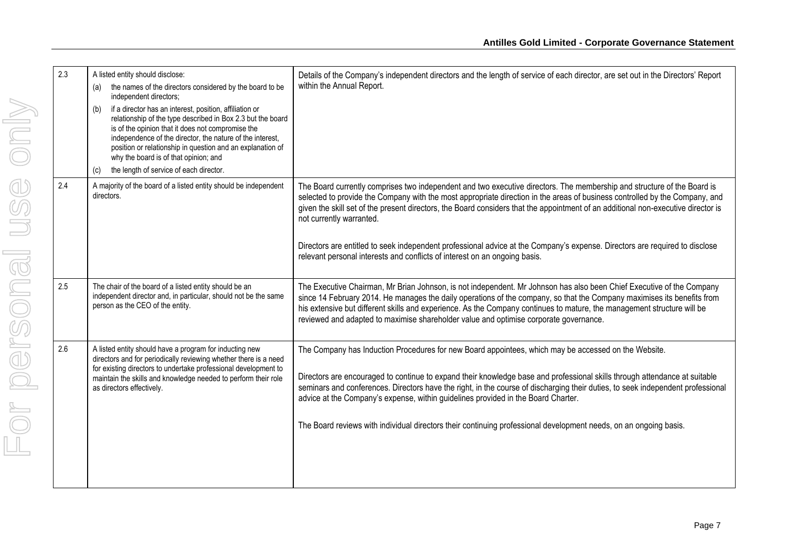| 2.3 | A listed entity should disclose:<br>the names of the directors considered by the board to be<br>(a)<br>independent directors;<br>if a director has an interest, position, affiliation or<br>(b)<br>relationship of the type described in Box 2.3 but the board<br>is of the opinion that it does not compromise the<br>independence of the director, the nature of the interest,<br>position or relationship in question and an explanation of<br>why the board is of that opinion; and<br>the length of service of each director.<br>(c) | Details of the Company's independent directors and the length of service of each director, are set out in the Directors' Report<br>within the Annual Report.                                                                                                                                                                                                                                                                                                                                                                                                                                                                         |
|-----|-------------------------------------------------------------------------------------------------------------------------------------------------------------------------------------------------------------------------------------------------------------------------------------------------------------------------------------------------------------------------------------------------------------------------------------------------------------------------------------------------------------------------------------------|--------------------------------------------------------------------------------------------------------------------------------------------------------------------------------------------------------------------------------------------------------------------------------------------------------------------------------------------------------------------------------------------------------------------------------------------------------------------------------------------------------------------------------------------------------------------------------------------------------------------------------------|
| 2.4 | A majority of the board of a listed entity should be independent<br>directors.                                                                                                                                                                                                                                                                                                                                                                                                                                                            | The Board currently comprises two independent and two executive directors. The membership and structure of the Board is<br>selected to provide the Company with the most appropriate direction in the areas of business controlled by the Company, and<br>given the skill set of the present directors, the Board considers that the appointment of an additional non-executive director is<br>not currently warranted.<br>Directors are entitled to seek independent professional advice at the Company's expense. Directors are required to disclose<br>relevant personal interests and conflicts of interest on an ongoing basis. |
| 2.5 | The chair of the board of a listed entity should be an<br>independent director and, in particular, should not be the same<br>person as the CEO of the entity.                                                                                                                                                                                                                                                                                                                                                                             | The Executive Chairman, Mr Brian Johnson, is not independent. Mr Johnson has also been Chief Executive of the Company<br>since 14 February 2014. He manages the daily operations of the company, so that the Company maximises its benefits from<br>his extensive but different skills and experience. As the Company continues to mature, the management structure will be<br>reviewed and adapted to maximise shareholder value and optimise corporate governance.                                                                                                                                                                 |
| 2.6 | A listed entity should have a program for inducting new<br>directors and for periodically reviewing whether there is a need<br>for existing directors to undertake professional development to<br>maintain the skills and knowledge needed to perform their role<br>as directors effectively.                                                                                                                                                                                                                                             | The Company has Induction Procedures for new Board appointees, which may be accessed on the Website.<br>Directors are encouraged to continue to expand their knowledge base and professional skills through attendance at suitable<br>seminars and conferences. Directors have the right, in the course of discharging their duties, to seek independent professional<br>advice at the Company's expense, within guidelines provided in the Board Charter.<br>The Board reviews with individual directors their continuing professional development needs, on an ongoing basis.                                                      |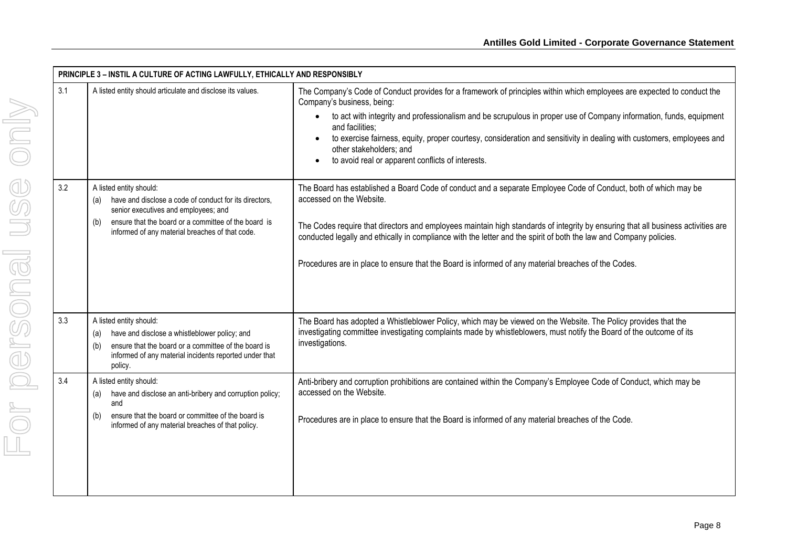|     | PRINCIPLE 3 - INSTIL A CULTURE OF ACTING LAWFULLY, ETHICALLY AND RESPONSIBLY                                                                                                                                                         |                                                                                                                                                                                                                                                                                                                                                                                                                                                                                                                                                |  |  |
|-----|--------------------------------------------------------------------------------------------------------------------------------------------------------------------------------------------------------------------------------------|------------------------------------------------------------------------------------------------------------------------------------------------------------------------------------------------------------------------------------------------------------------------------------------------------------------------------------------------------------------------------------------------------------------------------------------------------------------------------------------------------------------------------------------------|--|--|
| 3.1 | A listed entity should articulate and disclose its values.                                                                                                                                                                           | The Company's Code of Conduct provides for a framework of principles within which employees are expected to conduct the<br>Company's business, being:<br>to act with integrity and professionalism and be scrupulous in proper use of Company information, funds, equipment<br>$\bullet$<br>and facilities:<br>to exercise fairness, equity, proper courtesy, consideration and sensitivity in dealing with customers, employees and<br>$\bullet$<br>other stakeholders; and<br>to avoid real or apparent conflicts of interests.<br>$\bullet$ |  |  |
| 3.2 | A listed entity should:<br>have and disclose a code of conduct for its directors,<br>senior executives and employees; and<br>ensure that the board or a committee of the board is<br>informed of any material breaches of that code. | The Board has established a Board Code of conduct and a separate Employee Code of Conduct, both of which may be<br>accessed on the Website.<br>The Codes require that directors and employees maintain high standards of integrity by ensuring that all business activities are<br>conducted legally and ethically in compliance with the letter and the spirit of both the law and Company policies.<br>Procedures are in place to ensure that the Board is informed of any material breaches of the Codes.                                   |  |  |
| 3.3 | A listed entity should:<br>have and disclose a whistleblower policy; and<br>(a)<br>ensure that the board or a committee of the board is<br>(b)<br>informed of any material incidents reported under that<br>policy.                  | The Board has adopted a Whistleblower Policy, which may be viewed on the Website. The Policy provides that the<br>investigating committee investigating complaints made by whistleblowers, must notify the Board of the outcome of its<br>investigations.                                                                                                                                                                                                                                                                                      |  |  |
| 3.4 | A listed entity should:<br>have and disclose an anti-bribery and corruption policy;<br>(a)<br>and<br>ensure that the board or committee of the board is<br>(b)<br>informed of any material breaches of that policy.                  | Anti-bribery and corruption prohibitions are contained within the Company's Employee Code of Conduct, which may be<br>accessed on the Website.<br>Procedures are in place to ensure that the Board is informed of any material breaches of the Code.                                                                                                                                                                                                                                                                                           |  |  |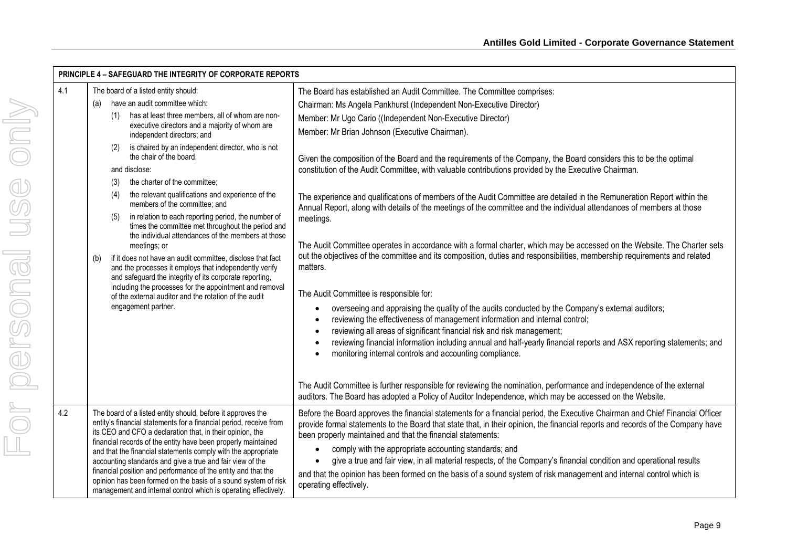|     | <b>PRINCIPLE 4 - SAFEGUARD THE INTEGRITY OF CORPORATE REPORTS</b>                                                                                                                                                                                                                                                                                                                                                                                                                                                                                                                                                                                                                                                                                                                                                                                                                                                                                           |                                                                                                                                                                                                                                                                                                                                                                                                                                                                                                                                                                                                                                                                                                                                                                                                                                                                                                                                                                                                                                                                                                                                                                                                                                                                                                                                                                                                                                                   |  |
|-----|-------------------------------------------------------------------------------------------------------------------------------------------------------------------------------------------------------------------------------------------------------------------------------------------------------------------------------------------------------------------------------------------------------------------------------------------------------------------------------------------------------------------------------------------------------------------------------------------------------------------------------------------------------------------------------------------------------------------------------------------------------------------------------------------------------------------------------------------------------------------------------------------------------------------------------------------------------------|---------------------------------------------------------------------------------------------------------------------------------------------------------------------------------------------------------------------------------------------------------------------------------------------------------------------------------------------------------------------------------------------------------------------------------------------------------------------------------------------------------------------------------------------------------------------------------------------------------------------------------------------------------------------------------------------------------------------------------------------------------------------------------------------------------------------------------------------------------------------------------------------------------------------------------------------------------------------------------------------------------------------------------------------------------------------------------------------------------------------------------------------------------------------------------------------------------------------------------------------------------------------------------------------------------------------------------------------------------------------------------------------------------------------------------------------------|--|
| 4.1 | The board of a listed entity should:                                                                                                                                                                                                                                                                                                                                                                                                                                                                                                                                                                                                                                                                                                                                                                                                                                                                                                                        | The Board has established an Audit Committee. The Committee comprises:                                                                                                                                                                                                                                                                                                                                                                                                                                                                                                                                                                                                                                                                                                                                                                                                                                                                                                                                                                                                                                                                                                                                                                                                                                                                                                                                                                            |  |
|     | have an audit committee which:<br>(a)<br>has at least three members, all of whom are non-<br>(1)<br>executive directors and a majority of whom are<br>independent directors; and<br>is chaired by an independent director, who is not<br>(2)<br>the chair of the board.<br>and disclose:<br>the charter of the committee:<br>(3)<br>the relevant qualifications and experience of the<br>(4)<br>members of the committee; and<br>in relation to each reporting period, the number of<br>(5)<br>times the committee met throughout the period and<br>the individual attendances of the members at those<br>meetings; or<br>if it does not have an audit committee, disclose that fact<br>(b)<br>and the processes it employs that independently verify<br>and safeguard the integrity of its corporate reporting,<br>including the processes for the appointment and removal<br>of the external auditor and the rotation of the audit<br>engagement partner. | Chairman: Ms Angela Pankhurst (Independent Non-Executive Director)<br>Member: Mr Ugo Cario ((Independent Non-Executive Director)<br>Member: Mr Brian Johnson (Executive Chairman).<br>Given the composition of the Board and the requirements of the Company, the Board considers this to be the optimal<br>constitution of the Audit Committee, with valuable contributions provided by the Executive Chairman.<br>The experience and qualifications of members of the Audit Committee are detailed in the Remuneration Report within the<br>Annual Report, along with details of the meetings of the committee and the individual attendances of members at those<br>meetings.<br>The Audit Committee operates in accordance with a formal charter, which may be accessed on the Website. The Charter sets<br>out the objectives of the committee and its composition, duties and responsibilities, membership requirements and related<br>matters.<br>The Audit Committee is responsible for:<br>overseeing and appraising the quality of the audits conducted by the Company's external auditors;<br>reviewing the effectiveness of management information and internal control;<br>reviewing all areas of significant financial risk and risk management;<br>reviewing financial information including annual and half-yearly financial reports and ASX reporting statements; and<br>monitoring internal controls and accounting compliance. |  |
|     |                                                                                                                                                                                                                                                                                                                                                                                                                                                                                                                                                                                                                                                                                                                                                                                                                                                                                                                                                             | The Audit Committee is further responsible for reviewing the nomination, performance and independence of the external<br>auditors. The Board has adopted a Policy of Auditor Independence, which may be accessed on the Website.                                                                                                                                                                                                                                                                                                                                                                                                                                                                                                                                                                                                                                                                                                                                                                                                                                                                                                                                                                                                                                                                                                                                                                                                                  |  |
| 4.2 | The board of a listed entity should, before it approves the<br>entity's financial statements for a financial period, receive from<br>its CEO and CFO a declaration that, in their opinion, the<br>financial records of the entity have been properly maintained<br>and that the financial statements comply with the appropriate<br>accounting standards and give a true and fair view of the<br>financial position and performance of the entity and that the<br>opinion has been formed on the basis of a sound system of risk<br>management and internal control which is operating effectively.                                                                                                                                                                                                                                                                                                                                                         | Before the Board approves the financial statements for a financial period, the Executive Chairman and Chief Financial Officer<br>provide formal statements to the Board that state that, in their opinion, the financial reports and records of the Company have<br>been properly maintained and that the financial statements:<br>comply with the appropriate accounting standards; and<br>give a true and fair view, in all material respects, of the Company's financial condition and operational results<br>and that the opinion has been formed on the basis of a sound system of risk management and internal control which is<br>operating effectively.                                                                                                                                                                                                                                                                                                                                                                                                                                                                                                                                                                                                                                                                                                                                                                                   |  |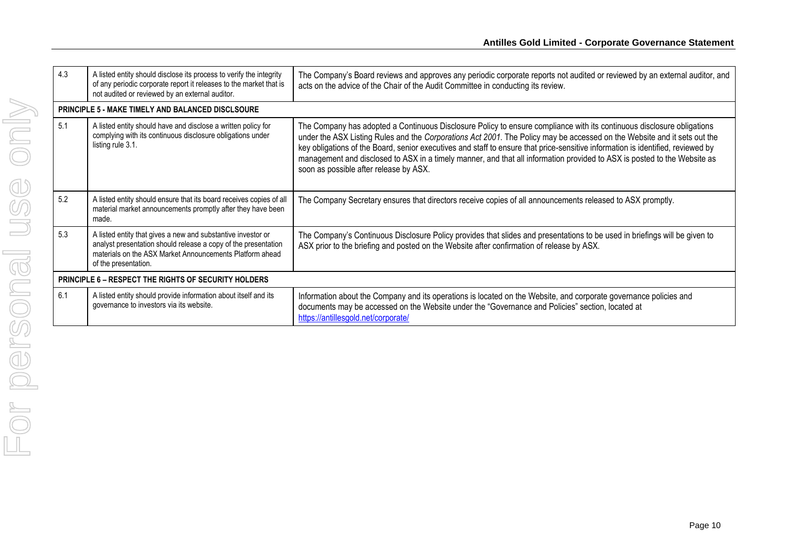| 4.3 | A listed entity should disclose its process to verify the integrity<br>of any periodic corporate report it releases to the market that is<br>not audited or reviewed by an external auditor.                       | The Company's Board reviews and approves any periodic corporate reports not audited or reviewed by an external auditor, and<br>acts on the advice of the Chair of the Audit Committee in conducting its review.                                                                                                                                                                                                                                                                                                                                             |  |  |
|-----|--------------------------------------------------------------------------------------------------------------------------------------------------------------------------------------------------------------------|-------------------------------------------------------------------------------------------------------------------------------------------------------------------------------------------------------------------------------------------------------------------------------------------------------------------------------------------------------------------------------------------------------------------------------------------------------------------------------------------------------------------------------------------------------------|--|--|
|     | <b>PRINCIPLE 5 - MAKE TIMELY AND BALANCED DISCLSOURE</b>                                                                                                                                                           |                                                                                                                                                                                                                                                                                                                                                                                                                                                                                                                                                             |  |  |
| 5.1 | A listed entity should have and disclose a written policy for<br>complying with its continuous disclosure obligations under<br>listing rule 3.1.                                                                   | The Company has adopted a Continuous Disclosure Policy to ensure compliance with its continuous disclosure obligations<br>under the ASX Listing Rules and the Corporations Act 2001. The Policy may be accessed on the Website and it sets out the<br>key obligations of the Board, senior executives and staff to ensure that price-sensitive information is identified, reviewed by<br>management and disclosed to ASX in a timely manner, and that all information provided to ASX is posted to the Website as<br>soon as possible after release by ASX. |  |  |
| 5.2 | A listed entity should ensure that its board receives copies of all<br>material market announcements promptly after they have been<br>made.                                                                        | The Company Secretary ensures that directors receive copies of all announcements released to ASX promptly.                                                                                                                                                                                                                                                                                                                                                                                                                                                  |  |  |
| 5.3 | A listed entity that gives a new and substantive investor or<br>analyst presentation should release a copy of the presentation<br>materials on the ASX Market Announcements Platform ahead<br>of the presentation. | The Company's Continuous Disclosure Policy provides that slides and presentations to be used in briefings will be given to<br>ASX prior to the briefing and posted on the Website after confirmation of release by ASX.                                                                                                                                                                                                                                                                                                                                     |  |  |
|     | <b>PRINCIPLE 6 – RESPECT THE RIGHTS OF SECURITY HOLDERS</b>                                                                                                                                                        |                                                                                                                                                                                                                                                                                                                                                                                                                                                                                                                                                             |  |  |
| 6.1 | A listed entity should provide information about itself and its<br>governance to investors via its website.                                                                                                        | Information about the Company and its operations is located on the Website, and corporate governance policies and<br>documents may be accessed on the Website under the "Governance and Policies" section, located at<br>https://antillesgold.net/corporate/                                                                                                                                                                                                                                                                                                |  |  |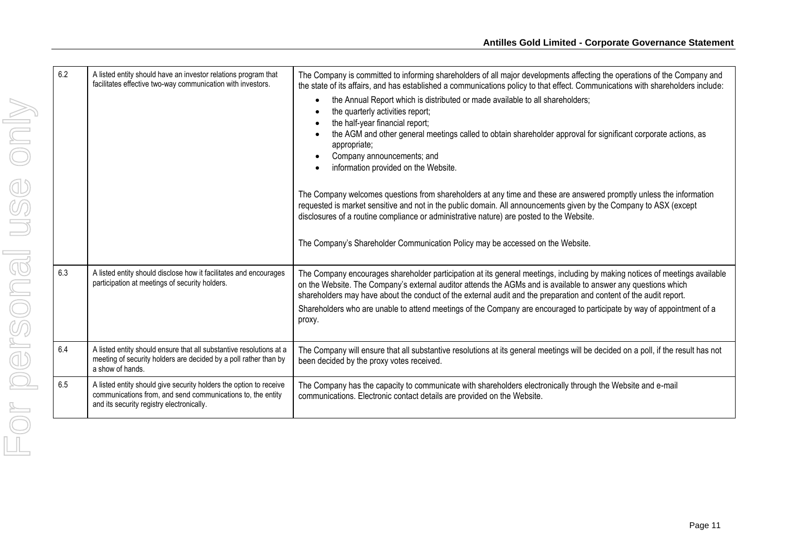| 6.2 | A listed entity should have an investor relations program that<br>facilitates effective two-way communication with investors.                                                  | The Company is committed to informing shareholders of all major developments affecting the operations of the Company and<br>the state of its affairs, and has established a communications policy to that effect. Communications with shareholders include:<br>the Annual Report which is distributed or made available to all shareholders;<br>the quarterly activities report;<br>the half-year financial report;<br>the AGM and other general meetings called to obtain shareholder approval for significant corporate actions, as<br>appropriate;<br>Company announcements; and<br>information provided on the Website.<br>The Company welcomes questions from shareholders at any time and these are answered promptly unless the information<br>requested is market sensitive and not in the public domain. All announcements given by the Company to ASX (except<br>disclosures of a routine compliance or administrative nature) are posted to the Website.<br>The Company's Shareholder Communication Policy may be accessed on the Website. |
|-----|--------------------------------------------------------------------------------------------------------------------------------------------------------------------------------|-------------------------------------------------------------------------------------------------------------------------------------------------------------------------------------------------------------------------------------------------------------------------------------------------------------------------------------------------------------------------------------------------------------------------------------------------------------------------------------------------------------------------------------------------------------------------------------------------------------------------------------------------------------------------------------------------------------------------------------------------------------------------------------------------------------------------------------------------------------------------------------------------------------------------------------------------------------------------------------------------------------------------------------------------------|
| 6.3 | A listed entity should disclose how it facilitates and encourages<br>participation at meetings of security holders.                                                            | The Company encourages shareholder participation at its general meetings, including by making notices of meetings available<br>on the Website. The Company's external auditor attends the AGMs and is available to answer any questions which<br>shareholders may have about the conduct of the external audit and the preparation and content of the audit report.<br>Shareholders who are unable to attend meetings of the Company are encouraged to participate by way of appointment of a<br>proxy.                                                                                                                                                                                                                                                                                                                                                                                                                                                                                                                                               |
| 6.4 | A listed entity should ensure that all substantive resolutions at a<br>meeting of security holders are decided by a poll rather than by<br>a show of hands.                    | The Company will ensure that all substantive resolutions at its general meetings will be decided on a poll, if the result has not<br>been decided by the proxy votes received.                                                                                                                                                                                                                                                                                                                                                                                                                                                                                                                                                                                                                                                                                                                                                                                                                                                                        |
| 6.5 | A listed entity should give security holders the option to receive<br>communications from, and send communications to, the entity<br>and its security registry electronically. | The Company has the capacity to communicate with shareholders electronically through the Website and e-mail<br>communications. Electronic contact details are provided on the Website.                                                                                                                                                                                                                                                                                                                                                                                                                                                                                                                                                                                                                                                                                                                                                                                                                                                                |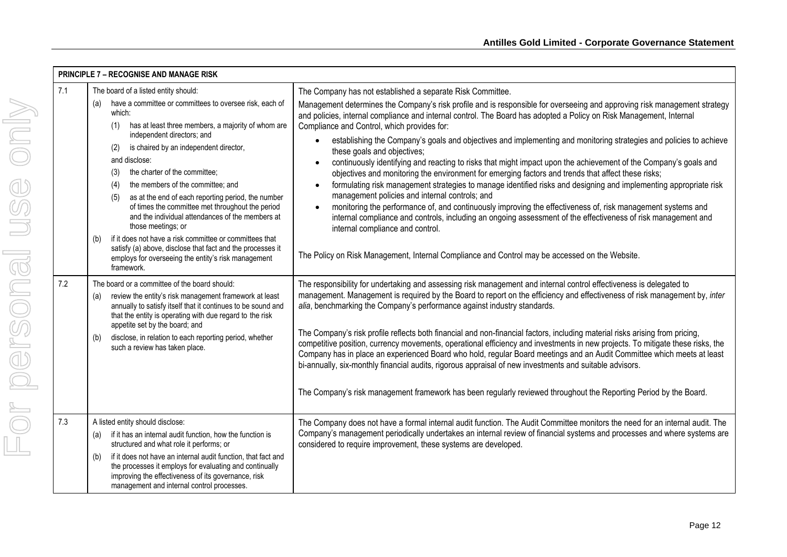|     | <b>PRINCIPLE 7 - RECOGNISE AND MANAGE RISK</b>                                                                                                                                                                                                                                                                                                                                                                                                                                                                                                               |                                                                                                                                                                                                                                                                                                                                                                                                                                                                                                                                                                                                                                                                                                                                                                                                                                                                                                                                                                                                                                                                                                                                                                                         |
|-----|--------------------------------------------------------------------------------------------------------------------------------------------------------------------------------------------------------------------------------------------------------------------------------------------------------------------------------------------------------------------------------------------------------------------------------------------------------------------------------------------------------------------------------------------------------------|-----------------------------------------------------------------------------------------------------------------------------------------------------------------------------------------------------------------------------------------------------------------------------------------------------------------------------------------------------------------------------------------------------------------------------------------------------------------------------------------------------------------------------------------------------------------------------------------------------------------------------------------------------------------------------------------------------------------------------------------------------------------------------------------------------------------------------------------------------------------------------------------------------------------------------------------------------------------------------------------------------------------------------------------------------------------------------------------------------------------------------------------------------------------------------------------|
| 7.1 | The board of a listed entity should:<br>have a committee or committees to oversee risk, each of<br>(a)<br>which:<br>has at least three members, a majority of whom are<br>(1)<br>independent directors; and<br>is chaired by an independent director,<br>(2)<br>and disclose:<br>the charter of the committee;<br>(3)<br>the members of the committee; and<br>(4)<br>as at the end of each reporting period, the number<br>(5)<br>of times the committee met throughout the period<br>and the individual attendances of the members at<br>those meetings; or | The Company has not established a separate Risk Committee.<br>Management determines the Company's risk profile and is responsible for overseeing and approving risk management strategy<br>and policies, internal compliance and internal control. The Board has adopted a Policy on Risk Management, Internal<br>Compliance and Control, which provides for:<br>establishing the Company's goals and objectives and implementing and monitoring strategies and policies to achieve<br>these goals and objectives;<br>continuously identifying and reacting to risks that might impact upon the achievement of the Company's goals and<br>objectives and monitoring the environment for emerging factors and trends that affect these risks;<br>formulating risk management strategies to manage identified risks and designing and implementing appropriate risk<br>management policies and internal controls; and<br>monitoring the performance of, and continuously improving the effectiveness of, risk management systems and<br>internal compliance and controls, including an ongoing assessment of the effectiveness of risk management and<br>internal compliance and control. |
|     | if it does not have a risk committee or committees that<br>(b)<br>satisfy (a) above, disclose that fact and the processes it<br>employs for overseeing the entity's risk management<br>framework.                                                                                                                                                                                                                                                                                                                                                            | The Policy on Risk Management, Internal Compliance and Control may be accessed on the Website.                                                                                                                                                                                                                                                                                                                                                                                                                                                                                                                                                                                                                                                                                                                                                                                                                                                                                                                                                                                                                                                                                          |
| 7.2 | The board or a committee of the board should:<br>review the entity's risk management framework at least<br>(a)<br>annually to satisfy itself that it continues to be sound and<br>that the entity is operating with due regard to the risk<br>appetite set by the board; and<br>disclose, in relation to each reporting period, whether<br>(b)<br>such a review has taken place.                                                                                                                                                                             | The responsibility for undertaking and assessing risk management and internal control effectiveness is delegated to<br>management. Management is required by the Board to report on the efficiency and effectiveness of risk management by, inter<br>alia, benchmarking the Company's performance against industry standards.<br>The Company's risk profile reflects both financial and non-financial factors, including material risks arising from pricing,<br>competitive position, currency movements, operational efficiency and investments in new projects. To mitigate these risks, the<br>Company has in place an experienced Board who hold, regular Board meetings and an Audit Committee which meets at least<br>bi-annually, six-monthly financial audits, rigorous appraisal of new investments and suitable advisors.<br>The Company's risk management framework has been regularly reviewed throughout the Reporting Period by the Board.                                                                                                                                                                                                                               |
| 7.3 | A listed entity should disclose:<br>if it has an internal audit function, how the function is<br>(a)<br>structured and what role it performs; or<br>if it does not have an internal audit function, that fact and<br>(b)<br>the processes it employs for evaluating and continually<br>improving the effectiveness of its governance, risk<br>management and internal control processes.                                                                                                                                                                     | The Company does not have a formal internal audit function. The Audit Committee monitors the need for an internal audit. The<br>Company's management periodically undertakes an internal review of financial systems and processes and where systems are<br>considered to require improvement, these systems are developed.                                                                                                                                                                                                                                                                                                                                                                                                                                                                                                                                                                                                                                                                                                                                                                                                                                                             |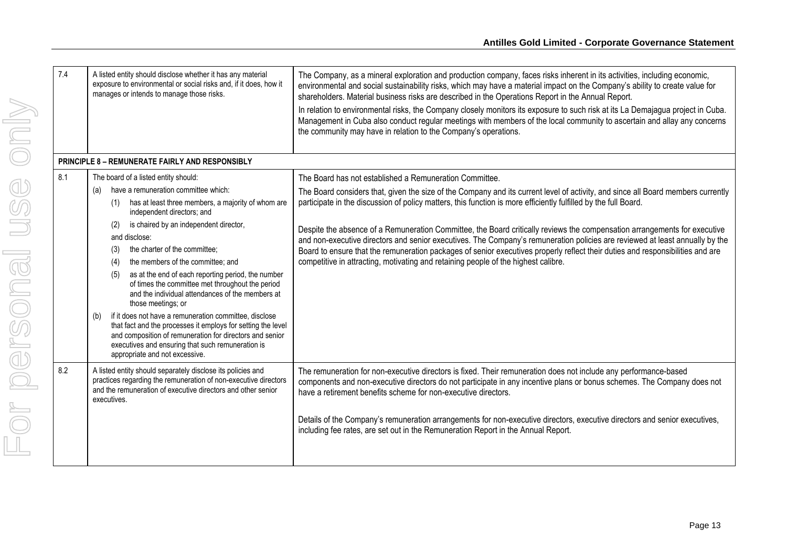| 7.4 | A listed entity should disclose whether it has any material<br>exposure to environmental or social risks and, if it does, how it<br>manages or intends to manage those risks.                                                                                                                                                                                                                                                                                                                                                                                                                                                                                                                                                                                                                                       | The Company, as a mineral exploration and production company, faces risks inherent in its activities, including economic,<br>environmental and social sustainability risks, which may have a material impact on the Company's ability to create value for<br>shareholders. Material business risks are described in the Operations Report in the Annual Report.<br>In relation to environmental risks, the Company closely monitors its exposure to such risk at its La Demajagua project in Cuba.<br>Management in Cuba also conduct regular meetings with members of the local community to ascertain and allay any concerns<br>the community may have in relation to the Company's operations.                                                                                                   |
|-----|---------------------------------------------------------------------------------------------------------------------------------------------------------------------------------------------------------------------------------------------------------------------------------------------------------------------------------------------------------------------------------------------------------------------------------------------------------------------------------------------------------------------------------------------------------------------------------------------------------------------------------------------------------------------------------------------------------------------------------------------------------------------------------------------------------------------|-----------------------------------------------------------------------------------------------------------------------------------------------------------------------------------------------------------------------------------------------------------------------------------------------------------------------------------------------------------------------------------------------------------------------------------------------------------------------------------------------------------------------------------------------------------------------------------------------------------------------------------------------------------------------------------------------------------------------------------------------------------------------------------------------------|
|     | <b>PRINCIPLE 8 - REMUNERATE FAIRLY AND RESPONSIBLY</b>                                                                                                                                                                                                                                                                                                                                                                                                                                                                                                                                                                                                                                                                                                                                                              |                                                                                                                                                                                                                                                                                                                                                                                                                                                                                                                                                                                                                                                                                                                                                                                                     |
| 8.1 | The board of a listed entity should:<br>have a remuneration committee which:<br>(a)<br>has at least three members, a majority of whom are<br>(1)<br>independent directors; and<br>is chaired by an independent director,<br>(2)<br>and disclose:<br>the charter of the committee;<br>(3)<br>the members of the committee; and<br>(4)<br>as at the end of each reporting period, the number<br>(5)<br>of times the committee met throughout the period<br>and the individual attendances of the members at<br>those meetings; or<br>if it does not have a remuneration committee, disclose<br>(b)<br>that fact and the processes it employs for setting the level<br>and composition of remuneration for directors and senior<br>executives and ensuring that such remuneration is<br>appropriate and not excessive. | The Board has not established a Remuneration Committee.<br>The Board considers that, given the size of the Company and its current level of activity, and since all Board members currently<br>participate in the discussion of policy matters, this function is more efficiently fulfilled by the full Board.<br>Despite the absence of a Remuneration Committee, the Board critically reviews the compensation arrangements for executive<br>and non-executive directors and senior executives. The Company's remuneration policies are reviewed at least annually by the<br>Board to ensure that the remuneration packages of senior executives properly reflect their duties and responsibilities and are<br>competitive in attracting, motivating and retaining people of the highest calibre. |
| 8.2 | A listed entity should separately disclose its policies and<br>practices regarding the remuneration of non-executive directors<br>and the remuneration of executive directors and other senior<br>executives.                                                                                                                                                                                                                                                                                                                                                                                                                                                                                                                                                                                                       | The remuneration for non-executive directors is fixed. Their remuneration does not include any performance-based<br>components and non-executive directors do not participate in any incentive plans or bonus schemes. The Company does not<br>have a retirement benefits scheme for non-executive directors.<br>Details of the Company's remuneration arrangements for non-executive directors, executive directors and senior executives,<br>including fee rates, are set out in the Remuneration Report in the Annual Report.                                                                                                                                                                                                                                                                    |